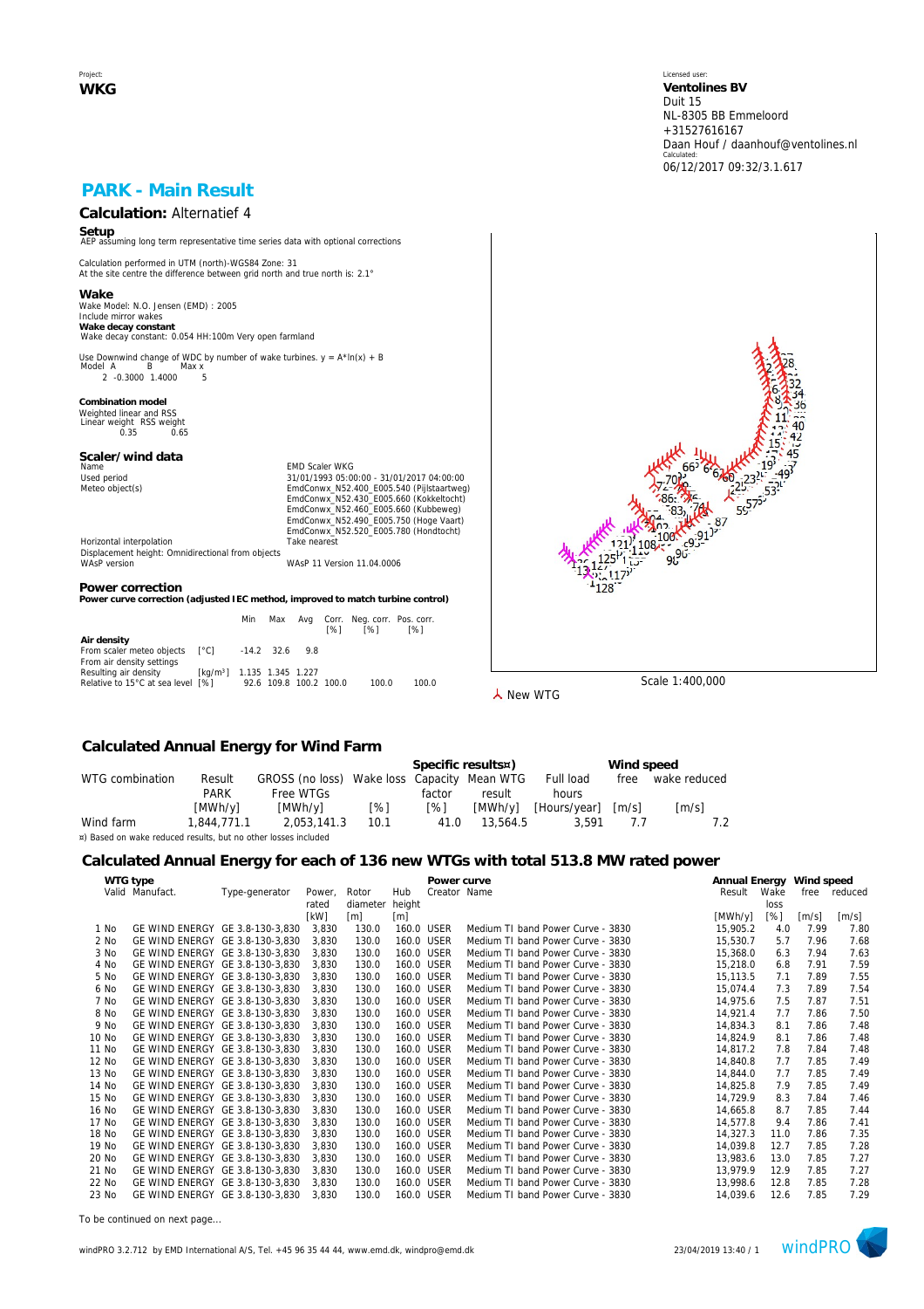Project: **WKG** Licensed user: **Ventolines BV**  Duit 15 NL-8305 BB Emmeloord +31527616167 Daan Houf / daanhouf@ventolines.nl Calculated: 06/12/2017 09:32/3.1.617

# **PARK - Main Result**

# **Calculation:** Alternatief 4

**Setup** AEP assuming long term representative time series data with optional corrections

Calculation performed in UTM (north)-WGS84 Zone: 31 At the site centre the difference between grid north and true north is: 2.1°

**Wake** Wake Model: N.O. Jensen (EMD) : 2005 Include mirror wakes **Wake decay constant** Wake decay constant: 0.054 HH:100m Very open farmland

Use Downwind change of WDC by number of wake turbines.  $y = A^* \ln(x) + B$ <br>Model A B Max x нег<del>д</del> в махх<br>2 -0.3000 1.4000 5

**Combination model** Weighted linear and RSS Linear weight RSS weight 0.35 0.65

# **Scaler/wind data**

Name Content of Maria Content of Maria Content of Maria Content of Maria Content of Maria Content of Maria Content Content of Maria Content Content Of Maria Content Content Of Maria Content Content Of Maria Content Content Used period<br>
Meteo object(s)<br>
Meteo object(s)<br>
EmdConwx\_N52.400\_E005.540 (Pijlstaartweg)<br>
EmdConwx\_N52.400\_E005.660 (Kukbelweg)<br>
EmdConwx\_N52.460\_E005.660 (Kukbelweg)<br>
EmdConwx\_N52.490\_E005.750 (Hoge Vaart) EmdConwx\_N52.520\_E005.780 (Hondtocht) Horizontal interpolation Take nearest

Displacement height: Omnidirectional from objects WAsP version WAsP 11 Version 11.04.0006

#### **Power correction**

Power curve correction (adjusted IEC method, improved to match turbine control)

|                                   |                                        | Min                    | Max              | [%] | Avg Corr. Neg.corr. Pos.corr.<br>[%] | [%]   |
|-----------------------------------|----------------------------------------|------------------------|------------------|-----|--------------------------------------|-------|
| Air density                       |                                        |                        |                  |     |                                      |       |
| From scaler meteo objects [°C]    |                                        |                        | $-14.2$ 32.6 9.8 |     |                                      |       |
| From air density settings         |                                        |                        |                  |     |                                      |       |
| Resulting air density             | [kg/m <sup>3</sup> ] 1.135 1.345 1.227 |                        |                  |     |                                      |       |
| Relative to 15°C at sea level [%] |                                        | 92.6 109.8 100.2 100.0 |                  |     | 100.0                                | 100.0 |



**人** New WTG

## **Calculated Annual Energy for Wind Farm**

|                                                                |             |                                             |      |            | Specific results¤) | Wind speed   |                     |                     |  |
|----------------------------------------------------------------|-------------|---------------------------------------------|------|------------|--------------------|--------------|---------------------|---------------------|--|
| WTG combination                                                | Result      | GROSS (no loss) Wake loss Capacity Mean WTG |      |            |                    | Full load    | free                | wake reduced        |  |
|                                                                | PARK        | Free WTGs                                   |      | factor     | result             | hours        |                     |                     |  |
|                                                                | [MWh/y]     | [MWh/v]                                     | [%]  | $\sqrt{8}$ | [MWh/v]            | [Hours/year] | $\lceil m/s \rceil$ | $\lceil m/s \rceil$ |  |
| Wind farm                                                      | 1.844.771.1 | 2.053.141.3                                 | 10.1 | 41.0       | 13,564.5           | 3.591        |                     |                     |  |
| ¤) Based on wake reduced results, but no other losses included |             |                                             |      |            |                    |              |                     |                     |  |

## **Calculated Annual Energy for each of 136 new WTGs with total 513.8 MW rated power**

|       | WTG type                        |                |        |          |            | Power curve  |                                   | Annual Energy Wind speed |      |       |         |
|-------|---------------------------------|----------------|--------|----------|------------|--------------|-----------------------------------|--------------------------|------|-------|---------|
|       | Valid Manufact.                 | Type-generator | Power, | Rotor    | Hub        | Creator Name |                                   | Result                   | Wake | free  | reduced |
|       |                                 |                | rated  | diameter | height     |              |                                   |                          | loss |       |         |
|       |                                 |                | [kW]   | [m]      | [m]        |              |                                   | [MWh/y]                  | [%]  | [m/s] | [m/s]   |
| 1 No  | GE WIND ENERGY GE 3.8-130-3,830 |                | 3.830  | 130.0    | 160.0 USER |              | Medium TI band Power Curve - 3830 | 15,905.2                 | 4.0  | 7.99  | 7.80    |
| 2 No  | GE WIND ENERGY GE 3.8-130-3.830 |                | 3.830  | 130.0    |            | 160.0 USER   | Medium TI band Power Curve - 3830 | 15,530.7                 | 5.7  | 7.96  | 7.68    |
| 3 No  | GE WIND ENERGY GE 3.8-130-3,830 |                | 3,830  | 130.0    | 160.0 USER |              | Medium TI band Power Curve - 3830 | 15,368.0                 | 6.3  | 7.94  | 7.63    |
| 4 No  | GE WIND ENERGY GE 3.8-130-3,830 |                | 3,830  | 130.0    | 160.0 USER |              | Medium TI band Power Curve - 3830 | 15,218.0                 | 6.8  | 7.91  | 7.59    |
| 5 No  | GE WIND ENERGY GE 3.8-130-3,830 |                | 3.830  | 130.0    |            | 160.0 USER   | Medium TI band Power Curve - 3830 | 15,113.5                 | 7.1  | 7.89  | 7.55    |
| 6 No  | GE WIND ENERGY GE 3.8-130-3,830 |                | 3,830  | 130.0    | 160.0 USER |              | Medium TI band Power Curve - 3830 | 15,074.4                 | 7.3  | 7.89  | 7.54    |
| 7 No  | GE WIND ENERGY GE 3.8-130-3,830 |                | 3,830  | 130.0    |            | 160.0 USER   | Medium TI band Power Curve - 3830 | 14,975.6                 | 7.5  | 7.87  | 7.51    |
| 8 No  | GE WIND ENERGY GE 3.8-130-3.830 |                | 3.830  | 130.0    | 160.0 USER |              | Medium TI band Power Curve - 3830 | 14,921.4                 | 7.7  | 7.86  | 7.50    |
| 9 No  | GE WIND ENERGY GE 3.8-130-3.830 |                | 3,830  | 130.0    |            | 160.0 USER   | Medium TI band Power Curve - 3830 | 14,834.3                 | 8.1  | 7.86  | 7.48    |
| 10 No | GE WIND ENERGY GE 3.8-130-3,830 |                | 3,830  | 130.0    |            | 160.0 USER   | Medium TI band Power Curve - 3830 | 14,824.9                 | 8.1  | 7.86  | 7.48    |
| 11 No | GE WIND ENERGY GE 3.8-130-3.830 |                | 3.830  | 130.0    |            | 160.0 USER   | Medium TI band Power Curve - 3830 | 14.817.2                 | 7.8  | 7.84  | 7.48    |
| 12 No | GE WIND ENERGY GE 3.8-130-3,830 |                | 3.830  | 130.0    |            | 160.0 USER   | Medium TI band Power Curve - 3830 | 14,840.8                 | 7.7  | 7.85  | 7.49    |
| 13 No | GE WIND ENERGY GE 3.8-130-3,830 |                | 3.830  | 130.0    |            | 160.0 USER   | Medium TI band Power Curve - 3830 | 14,844.0                 | 7.7  | 7.85  | 7.49    |
| 14 No | GE WIND ENERGY GE 3.8-130-3,830 |                | 3,830  | 130.0    |            | 160.0 USER   | Medium TI band Power Curve - 3830 | 14,825.8                 | 7.9  | 7.85  | 7.49    |
| 15 No | GE WIND ENERGY GE 3.8-130-3,830 |                | 3,830  | 130.0    |            | 160.0 USER   | Medium TI band Power Curve - 3830 | 14,729.9                 | 8.3  | 7.84  | 7.46    |
| 16 No | GE WIND ENERGY GE 3.8-130-3,830 |                | 3,830  | 130.0    |            | 160.0 USER   | Medium TI band Power Curve - 3830 | 14,665.8                 | 8.7  | 7.85  | 7.44    |
| 17 No | GE WIND ENERGY GE 3.8-130-3,830 |                | 3,830  | 130.0    | 160.0 USER |              | Medium TI band Power Curve - 3830 | 14,577.8                 | 9.4  | 7.86  | 7.41    |
| 18 No | GE WIND ENERGY GE 3.8-130-3,830 |                | 3,830  | 130.0    |            | 160.0 USER   | Medium TI band Power Curve - 3830 | 14,327.3                 | 11.0 | 7.86  | 7.35    |
| 19 No | GE WIND ENERGY GE 3.8-130-3.830 |                | 3.830  | 130.0    |            | 160.0 USER   | Medium TI band Power Curve - 3830 | 14,039.8                 | 12.7 | 7.85  | 7.28    |
| 20 No | GE WIND ENERGY GE 3.8-130-3,830 |                | 3.830  | 130.0    |            | 160.0 USER   | Medium TI band Power Curve - 3830 | 13,983.6                 | 13.0 | 7.85  | 7.27    |
| 21 No | GE WIND ENERGY GE 3.8-130-3.830 |                | 3.830  | 130.0    |            | 160.0 USER   | Medium TI band Power Curve - 3830 | 13,979.9                 | 12.9 | 7.85  | 7.27    |
| 22 No | GE WIND ENERGY GE 3.8-130-3.830 |                | 3.830  | 130.0    | 160.0 USER |              | Medium TI band Power Curve - 3830 | 13,998.6                 | 12.8 | 7.85  | 7.28    |
| 23 No | GE WIND ENERGY GE 3.8-130-3.830 |                | 3.830  | 130.0    |            | 160.0 USER   | Medium TI band Power Curve - 3830 | 14,039.6                 | 12.6 | 7.85  | 7.29    |

*To be continued on next page...*

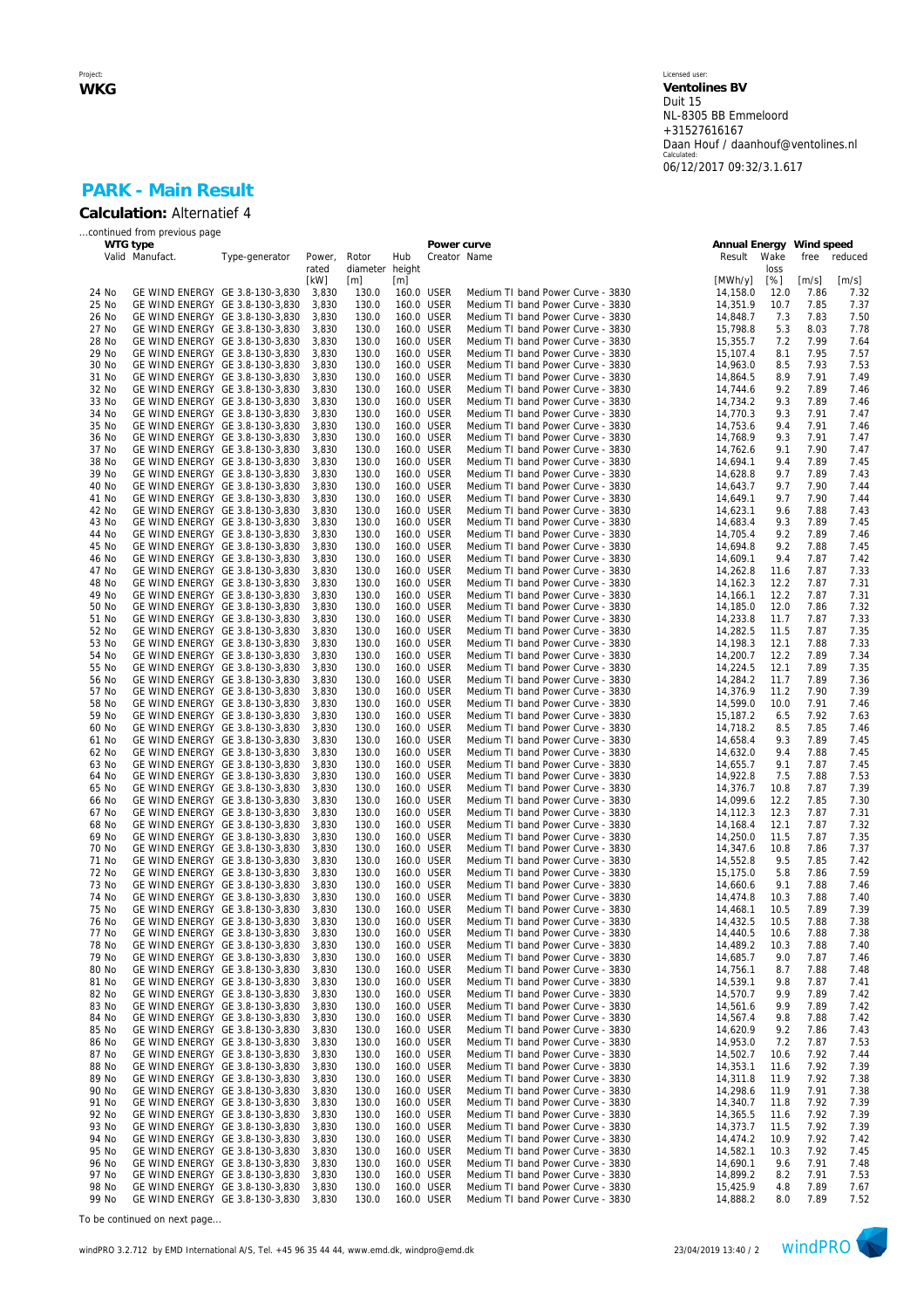### Licensed user: **Ventolines BV**  Duit 15 NL-8305 BB Emmeloord +31527616167 Daan Houf / daanhouf@ventolines.nl Calculated: 06/12/2017 09:32/3.1.617

## **PARK - Main Result Calculation:** Alternatief 4

|          | continued from previous page    |                                 |        |                 |            |              |                                                                        |                          |      |       |         |
|----------|---------------------------------|---------------------------------|--------|-----------------|------------|--------------|------------------------------------------------------------------------|--------------------------|------|-------|---------|
| WTG type |                                 |                                 |        |                 |            | Power curve  |                                                                        | Annual Energy Wind speed |      |       |         |
|          | Valid Manufact.                 | Type-generator                  | Power, | Rotor           | Hub        | Creator Name |                                                                        | Result                   | Wake | free  | reduced |
|          |                                 |                                 | rated  | diameter height |            |              |                                                                        |                          | loss |       |         |
|          |                                 |                                 | [kW]   | [m]             | [m]        |              |                                                                        | [MWh/y]                  | [%]  | [m/s] | [m/s]   |
| 24 No    | GE WIND ENERGY GE 3.8-130-3,830 |                                 | 3,830  | 130.0           | 160.0 USER |              | Medium TI band Power Curve - 3830                                      | 14,158.0                 | 12.0 | 7.86  | 7.32    |
| 25 No    | GE WIND ENERGY GE 3.8-130-3,830 |                                 | 3,830  | 130.0           |            | 160.0 USER   | Medium TI band Power Curve - 3830                                      | 14,351.9                 | 10.7 | 7.85  | 7.37    |
| 26 No    | GE WIND ENERGY GE 3.8-130-3,830 |                                 | 3,830  | 130.0           |            | 160.0 USER   | Medium TI band Power Curve - 3830                                      | 14,848.7                 | 7.3  | 7.83  | 7.50    |
| 27 No    | GE WIND ENERGY GE 3.8-130-3,830 |                                 | 3,830  | 130.0           |            | 160.0 USER   | Medium TI band Power Curve - 3830                                      | 15,798.8                 | 5.3  | 8.03  | 7.78    |
| 28 No    | GE WIND ENERGY GE 3.8-130-3,830 |                                 | 3,830  | 130.0           | 160.0 USER |              | Medium TI band Power Curve - 3830                                      | 15,355.7                 | 7.2  | 7.99  | 7.64    |
| 29 No    | GE WIND ENERGY GE 3.8-130-3,830 |                                 | 3,830  | 130.0           |            | 160.0 USER   | Medium TI band Power Curve - 3830                                      | 15,107.4                 | 8.1  | 7.95  | 7.57    |
| 30 No    |                                 | GE WIND ENERGY GE 3.8-130-3,830 | 3,830  | 130.0           |            | 160.0 USER   | Medium TI band Power Curve - 3830                                      | 14,963.0                 | 8.5  | 7.93  | 7.53    |
| 31 No    | GE WIND ENERGY GE 3.8-130-3,830 |                                 | 3,830  | 130.0           | 160.0 USER |              | Medium TI band Power Curve - 3830                                      | 14,864.5                 | 8.9  | 7.91  | 7.49    |
| 32 No    | GE WIND ENERGY GE 3.8-130-3,830 |                                 | 3,830  | 130.0           |            | 160.0 USER   | Medium TI band Power Curve - 3830                                      | 14.744.6                 | 9.2  | 7.89  | 7.46    |
| 33 No    | GE WIND ENERGY GE 3.8-130-3,830 |                                 | 3,830  | 130.0           | 160.0 USER |              | Medium TI band Power Curve - 3830                                      | 14,734.2                 | 9.3  | 7.89  | 7.46    |
| 34 No    | GE WIND ENERGY GE 3.8-130-3,830 |                                 | 3,830  | 130.0           |            | 160.0 USER   | Medium TI band Power Curve - 3830                                      | 14,770.3                 | 9.3  | 7.91  | 7.47    |
| 35 No    | GE WIND ENERGY GE 3.8-130-3,830 |                                 | 3,830  | 130.0           | 160.0 USER |              | Medium TI band Power Curve - 3830                                      | 14.753.6                 | 9.4  | 7.91  | 7.46    |
| 36 No    | GE WIND ENERGY GE 3.8-130-3,830 |                                 | 3,830  | 130.0           |            | 160.0 USER   | Medium TI band Power Curve - 3830                                      | 14,768.9                 | 9.3  | 7.91  | 7.47    |
| 37 No    | GE WIND ENERGY GE 3.8-130-3,830 |                                 | 3,830  | 130.0           |            | 160.0 USER   | Medium TI band Power Curve - 3830                                      | 14,762.6                 | 9.1  | 7.90  | 7.47    |
| 38 No    | GE WIND ENERGY GE 3.8-130-3,830 |                                 | 3,830  | 130.0           | 160.0 USER |              | Medium TI band Power Curve - 3830                                      | 14,694.1                 | 9.4  | 7.89  | 7.45    |
| 39 No    | GE WIND ENERGY GE 3.8-130-3,830 |                                 | 3,830  | 130.0           |            | 160.0 USER   | Medium TI band Power Curve - 3830                                      | 14,628.8                 | 9.7  | 7.89  | 7.43    |
| 40 No    |                                 | GE WIND ENERGY GE 3.8-130-3,830 | 3,830  | 130.0           | 160.0 USER |              | Medium TI band Power Curve - 3830                                      | 14,643.7                 | 9.7  | 7.90  | 7.44    |
| 41 No    | GE WIND ENERGY GE 3.8-130-3,830 |                                 | 3,830  | 130.0           |            | 160.0 USER   | Medium TI band Power Curve - 3830                                      | 14,649.1                 | 9.7  | 7.90  | 7.44    |
| 42 No    | GE WIND ENERGY GE 3.8-130-3,830 |                                 | 3,830  | 130.0           | 160.0 USER |              | Medium TI band Power Curve - 3830                                      | 14,623.1                 | 9.6  | 7.88  | 7.43    |
| 43 No    | GE WIND ENERGY GE 3.8-130-3,830 |                                 | 3,830  | 130.0           | 160.0 USER |              | Medium TI band Power Curve - 3830                                      | 14,683.4                 | 9.3  | 7.89  | 7.45    |
| 44 No    | GE WIND ENERGY GE 3.8-130-3,830 |                                 | 3,830  | 130.0           |            | 160.0 USER   | Medium TI band Power Curve - 3830                                      | 14.705.4                 | 9.2  | 7.89  | 7.46    |
| 45 No    | GE WIND ENERGY GE 3.8-130-3,830 |                                 | 3,830  | 130.0           | 160.0 USER |              | Medium TI band Power Curve - 3830                                      | 14,694.8                 | 9.2  | 7.88  | 7.45    |
| 46 No    | GE WIND ENERGY GE 3.8-130-3,830 |                                 | 3,830  | 130.0           |            | 160.0 USER   | Medium TI band Power Curve - 3830                                      | 14,609.1                 | 9.4  | 7.87  | 7.42    |
| 47 No    | GE WIND ENERGY GE 3.8-130-3,830 |                                 | 3,830  | 130.0           |            | 160.0 USER   | Medium TI band Power Curve - 3830                                      | 14,262.8                 | 11.6 | 7.87  | 7.33    |
| 48 No    | GE WIND ENERGY GE 3.8-130-3,830 |                                 | 3,830  | 130.0           | 160.0 USER |              | Medium TI band Power Curve - 3830                                      | 14.162.3                 | 12.2 | 7.87  | 7.31    |
| 49 No    | GE WIND ENERGY GE 3.8-130-3,830 |                                 | 3,830  | 130.0           |            | 160.0 USER   | Medium TI band Power Curve - 3830                                      | 14,166.1                 | 12.2 | 7.87  | 7.31    |
| 50 No    | GE WIND ENERGY GE 3.8-130-3,830 |                                 | 3,830  | 130.0           | 160.0 USER |              | Medium TI band Power Curve - 3830                                      | 14,185.0                 | 12.0 | 7.86  | 7.32    |
| 51 No    | GE WIND ENERGY GE 3.8-130-3,830 |                                 | 3,830  | 130.0           |            | 160.0 USER   | Medium TI band Power Curve - 3830                                      | 14,233.8                 | 11.7 | 7.87  | 7.33    |
| 52 No    | GE WIND ENERGY GE 3.8-130-3,830 |                                 | 3,830  | 130.0           |            | 160.0 USER   | Medium TI band Power Curve - 3830                                      | 14,282.5                 | 11.5 | 7.87  | 7.35    |
| 53 No    | GE WIND ENERGY GE 3.8-130-3,830 |                                 | 3,830  | 130.0           |            | 160.0 USER   | Medium TI band Power Curve - 3830                                      | 14,198.3                 | 12.1 | 7.88  | 7.33    |
| 54 No    | GE WIND ENERGY GE 3.8-130-3,830 |                                 | 3,830  | 130.0           |            | 160.0 USER   | Medium TI band Power Curve - 3830                                      | 14,200.7                 | 12.2 | 7.89  | 7.34    |
| 55 No    | GE WIND ENERGY GE 3.8-130-3,830 |                                 | 3,830  | 130.0           | 160.0 USER |              | Medium TI band Power Curve - 3830                                      | 14,224.5                 | 12.1 | 7.89  | 7.35    |
| 56 No    | GE WIND ENERGY GE 3.8-130-3,830 |                                 | 3,830  | 130.0           |            | 160.0 USER   | Medium TI band Power Curve - 3830                                      | 14,284.2                 | 11.7 | 7.89  | 7.36    |
|          |                                 |                                 |        |                 |            |              |                                                                        |                          |      | 7.90  |         |
| 57 No    |                                 | GE WIND ENERGY GE 3.8-130-3,830 | 3,830  | 130.0           |            | 160.0 USER   | Medium TI band Power Curve - 3830<br>Medium TI band Power Curve - 3830 | 14,376.9                 | 11.2 |       | 7.39    |
| 58 No    | GE WIND ENERGY GE 3.8-130-3,830 |                                 | 3,830  | 130.0           | 160.0 USER |              |                                                                        | 14,599.0                 | 10.0 | 7.91  | 7.46    |
| 59 No    | GE WIND ENERGY GE 3.8-130-3,830 |                                 | 3,830  | 130.0           |            | 160.0 USER   | Medium TI band Power Curve - 3830                                      | 15,187.2                 | 6.5  | 7.92  | 7.63    |
| 60 No    | GE WIND ENERGY GE 3.8-130-3,830 |                                 | 3,830  | 130.0           | 160.0 USER |              | Medium TI band Power Curve - 3830                                      | 14,718.2                 | 8.5  | 7.85  | 7.46    |
| 61 No    | GE WIND ENERGY GE 3.8-130-3,830 |                                 | 3,830  | 130.0           |            | 160.0 USER   | Medium TI band Power Curve - 3830                                      | 14,658.4                 | 9.3  | 7.89  | 7.45    |
| 62 No    | GE WIND ENERGY GE 3.8-130-3,830 |                                 | 3,830  | 130.0           | 160.0 USER |              | Medium TI band Power Curve - 3830                                      | 14,632.0                 | 9.4  | 7.88  | 7.45    |
| 63 No    | GE WIND ENERGY GE 3.8-130-3,830 |                                 | 3,830  | 130.0           | 160.0 USER |              | Medium TI band Power Curve - 3830                                      | 14,655.7                 | 9.1  | 7.87  | 7.45    |
| 64 No    | GE WIND ENERGY GE 3.8-130-3,830 |                                 | 3,830  | 130.0           |            | 160.0 USER   | Medium TI band Power Curve - 3830                                      | 14,922.8                 | 7.5  | 7.88  | 7.53    |
| 65 No    | GE WIND ENERGY GE 3.8-130-3,830 |                                 | 3,830  | 130.0           | 160.0 USER |              | Medium TI band Power Curve - 3830                                      | 14,376.7                 | 10.8 | 7.87  | 7.39    |
| 66 No    | GE WIND ENERGY GE 3.8-130-3,830 |                                 | 3,830  | 130.0           |            | 160.0 USER   | Medium TI band Power Curve - 3830                                      | 14,099.6                 | 12.2 | 7.85  | 7.30    |
| 67 No    |                                 | GE WIND ENERGY GE 3.8-130-3,830 | 3,830  | 130.0           | 160.0 USER |              | Medium TI band Power Curve - 3830                                      | 14,112.3                 | 12.3 | 7.87  | 7.31    |
| 68 No    | GE WIND ENERGY GE 3.8-130-3,830 |                                 | 3,830  | 130.0           |            | 160.0 USER   | Medium TI band Power Curve - 3830                                      | 14,168.4                 | 12.1 | 7.87  | 7.32    |
| 69 No    | GE WIND ENERGY GE 3.8-130-3,830 |                                 | 3,830  | 130.0           |            | 160.0 USER   | Medium TI band Power Curve - 3830                                      | 14,250.0                 | 11.5 | 7.87  | 7.35    |
| 70 No    | GE WIND ENERGY GE 3.8-130-3,830 |                                 | 3,830  | 130.0           | 160.0 USER |              | Medium TI band Power Curve - 3830                                      | 14,347.6                 | 10.8 | 7.86  | 7.37    |
| 71 No    | GE WIND ENERGY GE 3.8-130-3,830 |                                 | 3,830  | 130.0           |            | 160.0 USER   | Medium TI band Power Curve - 3830                                      | 14,552.8                 | 9.5  | 7.85  | 7.42    |
| 72 No    | GE WIND ENERGY GE 3.8-130-3,830 |                                 | 3,830  | 130.0           | 160.0 USER |              | Medium TI band Power Curve - 3830                                      | 15,175.0                 | 5.8  | 7.86  | 7.59    |
| 73 No    | GE WIND ENERGY GE 3.8-130-3,830 |                                 | 3,830  | 130.0           |            | 160.0 USER   | Medium TI band Power Curve - 3830                                      | 14,660.6                 | 9.1  | 7.88  | 7.46    |
| 74 No    |                                 | GE WIND ENERGY GE 3.8-130-3,830 | 3,830  | 130.0           |            | 160.0 USER   | Medium TI band Power Curve - 3830                                      | 14,474.8                 | 10.3 | 7.88  | 7.40    |
| 75 No    | GE WIND ENERGY GE 3.8-130-3,830 |                                 | 3,830  | 130.0           | 160.0 USER |              | Medium TI band Power Curve - 3830                                      | 14,468.1                 | 10.5 | 7.89  | 7.39    |
| 76 No    |                                 | GE WIND ENERGY GE 3.8-130-3,830 | 3,830  | 130.0           |            | 160.0 USER   | Medium TI band Power Curve - 3830                                      | 14,432.5                 | 10.5 | 7.88  | 7.38    |
| 77 No    | GE WIND ENERGY GE 3.8-130-3,830 |                                 | 3,830  | 130.0           |            | 160.0 USER   | Medium TI band Power Curve - 3830                                      | 14,440.5                 | 10.6 | 7.88  | 7.38    |
| 78 No    | GE WIND ENERGY GE 3.8-130-3,830 |                                 | 3,830  | 130.0           |            | 160.0 USER   | Medium TI band Power Curve - 3830                                      | 14,489.2                 | 10.3 | 7.88  | 7.40    |
| 79 No    | GE WIND ENERGY GE 3.8-130-3,830 |                                 | 3,830  | 130.0           |            | 160.0 USER   | Medium TI band Power Curve - 3830                                      | 14,685.7                 | 9.0  | 7.87  | 7.46    |
| 80 No    | GE WIND ENERGY GE 3.8-130-3,830 |                                 | 3,830  | 130.0           |            | 160.0 USER   | Medium TI band Power Curve - 3830                                      | 14,756.1                 | 8.7  | 7.88  | 7.48    |
| 81 No    | GE WIND ENERGY GE 3.8-130-3,830 |                                 | 3,830  | 130.0           |            | 160.0 USER   | Medium TI band Power Curve - 3830                                      | 14,539.1                 | 9.8  | 7.87  | 7.41    |
| 82 No    | GE WIND ENERGY GE 3.8-130-3,830 |                                 | 3,830  | 130.0           |            | 160.0 USER   | Medium TI band Power Curve - 3830                                      | 14,570.7                 | 9.9  | 7.89  | 7.42    |
| 83 No    | GE WIND ENERGY GE 3.8-130-3,830 |                                 | 3,830  | 130.0           |            | 160.0 USER   | Medium TI band Power Curve - 3830                                      | 14,561.6                 | 9.9  | 7.89  | 7.42    |
| 84 No    | GE WIND ENERGY GE 3.8-130-3,830 |                                 | 3,830  | 130.0           |            | 160.0 USER   | Medium TI band Power Curve - 3830                                      | 14,567.4                 | 9.8  | 7.88  | 7.42    |
| 85 No    | GE WIND ENERGY GE 3.8-130-3,830 |                                 | 3,830  | 130.0           |            | 160.0 USER   | Medium TI band Power Curve - 3830                                      | 14,620.9                 | 9.2  | 7.86  | 7.43    |
| 86 No    | GE WIND ENERGY GE 3.8-130-3,830 |                                 | 3,830  | 130.0           |            | 160.0 USER   | Medium TI band Power Curve - 3830                                      | 14,953.0                 | 7.2  | 7.87  | 7.53    |
| 87 No    | GE WIND ENERGY GE 3.8-130-3,830 |                                 | 3,830  | 130.0           |            | 160.0 USER   | Medium TI band Power Curve - 3830                                      | 14,502.7                 | 10.6 | 7.92  | 7.44    |
| 88 No    | GE WIND ENERGY GE 3.8-130-3,830 |                                 | 3,830  | 130.0           |            | 160.0 USER   | Medium TI band Power Curve - 3830                                      | 14,353.1                 | 11.6 | 7.92  | 7.39    |
| 89 No    | GE WIND ENERGY GE 3.8-130-3,830 |                                 | 3,830  | 130.0           |            | 160.0 USER   | Medium TI band Power Curve - 3830                                      | 14,311.8                 | 11.9 | 7.92  | 7.38    |
| 90 No    | GE WIND ENERGY GE 3.8-130-3,830 |                                 | 3,830  | 130.0           |            | 160.0 USER   | Medium TI band Power Curve - 3830                                      | 14,298.6                 | 11.9 | 7.91  | 7.38    |
| 91 No    | GE WIND ENERGY GE 3.8-130-3,830 |                                 | 3,830  | 130.0           |            | 160.0 USER   | Medium TI band Power Curve - 3830                                      | 14,340.7                 | 11.8 | 7.92  | 7.39    |
| 92 No    | GE WIND ENERGY GE 3.8-130-3,830 |                                 | 3,830  | 130.0           |            | 160.0 USER   | Medium TI band Power Curve - 3830                                      | 14,365.5                 | 11.6 | 7.92  | 7.39    |
| 93 No    | GE WIND ENERGY GE 3.8-130-3,830 |                                 | 3,830  | 130.0           |            | 160.0 USER   | Medium TI band Power Curve - 3830                                      | 14,373.7                 | 11.5 | 7.92  | 7.39    |
| 94 No    | GE WIND ENERGY GE 3.8-130-3,830 |                                 | 3,830  | 130.0           |            | 160.0 USER   | Medium TI band Power Curve - 3830                                      | 14,474.2                 | 10.9 | 7.92  | 7.42    |
| 95 No    | GE WIND ENERGY GE 3.8-130-3,830 |                                 | 3,830  | 130.0           |            | 160.0 USER   | Medium TI band Power Curve - 3830                                      | 14,582.1                 | 10.3 | 7.92  | 7.45    |
| 96 No    | GE WIND ENERGY GE 3.8-130-3,830 |                                 | 3,830  | 130.0           |            | 160.0 USER   | Medium TI band Power Curve - 3830                                      | 14,690.1                 | 9.6  | 7.91  | 7.48    |
| 97 No    | GE WIND ENERGY GE 3.8-130-3,830 |                                 | 3,830  | 130.0           |            | 160.0 USER   | Medium TI band Power Curve - 3830                                      | 14,899.2                 | 8.2  | 7.91  | 7.53    |
| 98 No    | GE WIND ENERGY GE 3.8-130-3,830 |                                 | 3,830  | 130.0           |            | 160.0 USER   | Medium TI band Power Curve - 3830                                      | 15,425.9                 | 4.8  | 7.89  | 7.67    |
| 99 No    |                                 | GE WIND ENERGY GE 3.8-130-3,830 | 3,830  | 130.0           | 160.0 USER |              | Medium TI band Power Curve - 3830                                      | 14,888.2                 | 8.0  | 7.89  | 7.52    |

*To be continued on next page...*

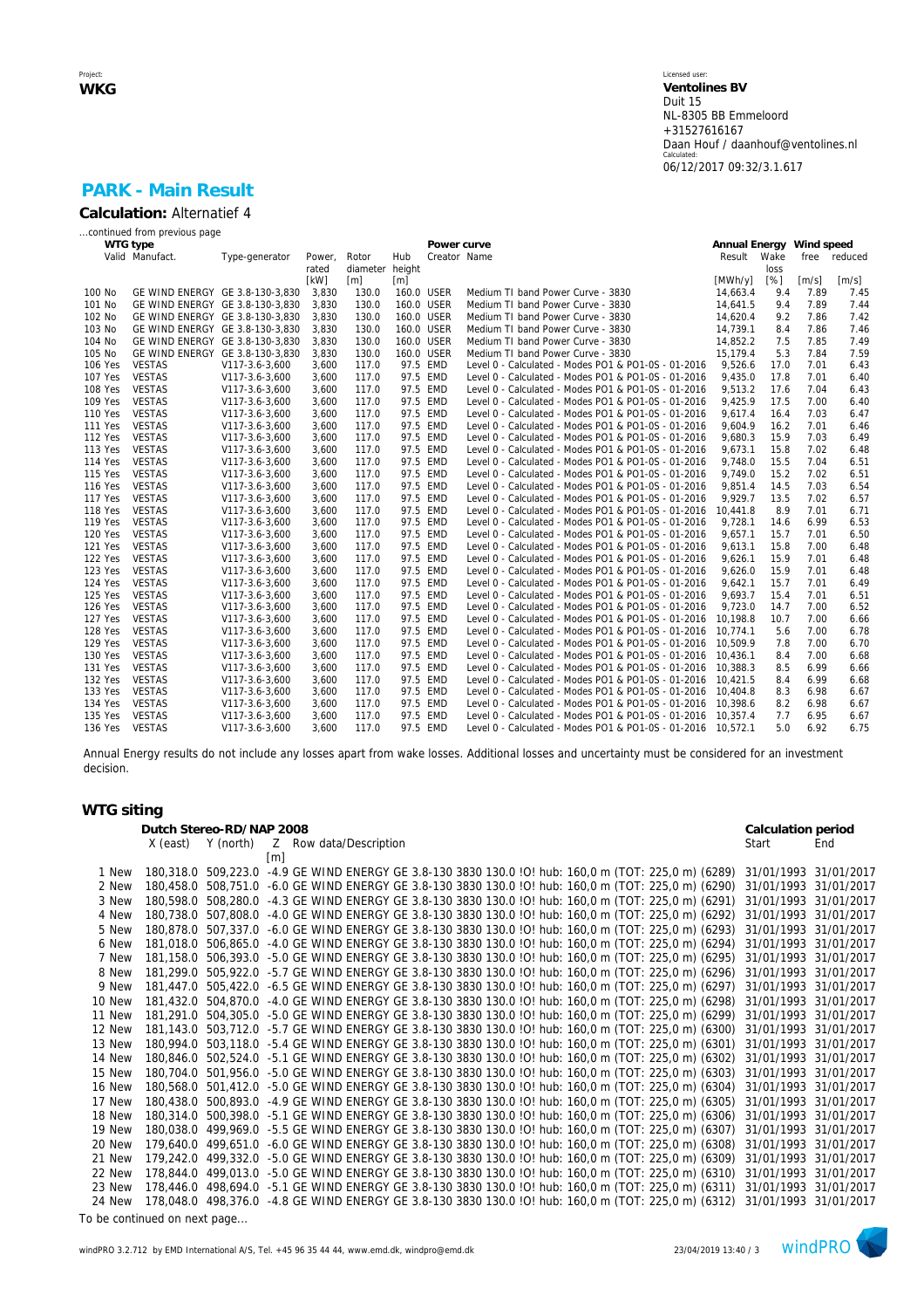### Licensed user: **Ventolines BV**  Duit 15 NL-8305 BB Emmeloord +31527616167 Daan Houf / daanhouf@ventolines.nl Calculated: 06/12/2017 09:32/3.1.617

## **PARK - Main Result Calculation:** Alternatief 4

|                | continued from previous page    |                |        |                 |            |              |                                                              |                          |      |                     |                     |
|----------------|---------------------------------|----------------|--------|-----------------|------------|--------------|--------------------------------------------------------------|--------------------------|------|---------------------|---------------------|
|                | WTG type                        |                |        |                 |            | Power curve  |                                                              | Annual Energy Wind speed |      |                     |                     |
|                | Valid Manufact.                 | Type-generator | Power, | Rotor           | Hub        | Creator Name |                                                              | Result                   | Wake | free                | reduced             |
|                |                                 |                | rated  | diameter height |            |              |                                                              |                          | loss |                     |                     |
|                |                                 |                | [kW]   | [m]             | [m]        |              |                                                              | [MWh/y]                  | [%]  | $\lceil m/s \rceil$ | $\lceil m/s \rceil$ |
| 100 No         | GE WIND ENERGY GE 3.8-130-3.830 |                | 3.830  | 130.0           | 160.0 USER |              | Medium TI band Power Curve - 3830                            | 14.663.4                 | 9.4  | 7.89                | 7.45                |
| 101 No         | GE WIND ENERGY GE 3.8-130-3,830 |                | 3,830  | 130.0           |            | 160.0 USER   | Medium TI band Power Curve - 3830                            | 14,641.5                 | 9.4  | 7.89                | 7.44                |
| 102 No         | GE WIND ENERGY GE 3.8-130-3,830 |                | 3,830  | 130.0           | 160.0 USER |              | Medium TI band Power Curve - 3830                            | 14,620.4                 | 9.2  | 7.86                | 7.42                |
| 103 No         | GE WIND ENERGY GE 3.8-130-3,830 |                | 3,830  | 130.0           | 160.0 USER |              | Medium TI band Power Curve - 3830                            | 14,739.1                 | 8.4  | 7.86                | 7.46                |
| 104 No         | GE WIND ENERGY GE 3.8-130-3,830 |                | 3,830  | 130.0           | 160.0 USER |              | Medium TI band Power Curve - 3830                            | 14,852.2                 | 7.5  | 7.85                | 7.49                |
| 105 No         | GE WIND ENERGY GE 3.8-130-3,830 |                | 3,830  | 130.0           | 160.0 USER |              | Medium TI band Power Curve - 3830                            | 15.179.4                 | 5.3  | 7.84                | 7.59                |
| 106 Yes        | <b>VESTAS</b>                   | V117-3.6-3,600 | 3,600  | 117.0           |            | 97.5 EMD     | Level 0 - Calculated - Modes PO1 & PO1-0S - 01-2016          | 9.526.6                  | 17.0 | 7.01                | 6.43                |
| <b>107 Yes</b> | <b>VESTAS</b>                   | V117-3.6-3,600 | 3,600  | 117.0           |            | 97.5 EMD     | Level 0 - Calculated - Modes PO1 & PO1-0S - 01-2016          | 9.435.0                  | 17.8 | 7.01                | 6.40                |
| 108 Yes        | <b>VESTAS</b>                   | V117-3.6-3.600 | 3,600  | 117.0           |            | 97.5 EMD     | Level 0 - Calculated - Modes PO1 & PO1-0S - 01-2016          | 9.513.2                  | 17.6 | 7.04                | 6.43                |
| 109 Yes        | <b>VESTAS</b>                   | V117-3.6-3,600 | 3,600  | 117.0           |            | 97.5 EMD     | Level 0 - Calculated - Modes PO1 & PO1-0S - 01-2016          | 9,425.9                  | 17.5 | 7.00                | 6.40                |
| 110 Yes        | <b>VESTAS</b>                   | V117-3.6-3,600 | 3,600  | 117.0           |            | 97.5 EMD     | Level 0 - Calculated - Modes PO1 & PO1-0S - 01-2016          | 9,617.4                  | 16.4 | 7.03                | 6.47                |
| <b>111 Yes</b> | <b>VESTAS</b>                   | V117-3.6-3,600 | 3,600  | 117.0           |            | 97.5 EMD     | Level 0 - Calculated - Modes PO1 & PO1-0S - 01-2016          | 9,604.9                  | 16.2 | 7.01                | 6.46                |
| <b>112 Yes</b> | <b>VESTAS</b>                   | V117-3.6-3,600 | 3,600  | 117.0           |            | 97.5 EMD     | Level 0 - Calculated - Modes PO1 & PO1-0S - 01-2016          | 9.680.3                  | 15.9 | 7.03                | 6.49                |
| 113 Yes        | <b>VESTAS</b>                   | V117-3.6-3,600 | 3,600  | 117.0           |            | 97.5 EMD     | Level 0 - Calculated - Modes PO1 & PO1-0S - 01-2016          | 9,673.1                  | 15.8 | 7.02                | 6.48                |
| <b>114 Yes</b> | <b>VESTAS</b>                   | V117-3.6-3,600 | 3,600  | 117.0           |            | 97.5 EMD     | Level 0 - Calculated - Modes PO1 & PO1-0S - 01-2016          | 9.748.0                  | 15.5 | 7.04                | 6.51                |
| 115 Yes        | <b>VESTAS</b>                   | V117-3.6-3,600 | 3,600  | 117.0           |            | 97.5 EMD     | Level 0 - Calculated - Modes PO1 & PO1-0S - 01-2016          | 9.749.0                  | 15.2 | 7.02                | 6.51                |
| 116 Yes        | <b>VESTAS</b>                   | V117-3.6-3.600 | 3,600  | 117.0           |            | 97.5 EMD     | Level 0 - Calculated - Modes PO1 & PO1-0S - 01-2016          | 9.851.4                  | 14.5 | 7.03                | 6.54                |
| 117 Yes        | <b>VESTAS</b>                   | V117-3.6-3,600 | 3,600  | 117.0           |            | 97.5 EMD     | Level 0 - Calculated - Modes PO1 & PO1-0S - 01-2016          | 9,929.7                  | 13.5 | 7.02                | 6.57                |
| 118 Yes        | <b>VESTAS</b>                   | V117-3.6-3,600 | 3,600  | 117.0           |            | 97.5 EMD     | Level 0 - Calculated - Modes PO1 & PO1-0S - 01-2016          | 10,441.8                 | 8.9  | 7.01                | 6.71                |
| 119 Yes        | <b>VESTAS</b>                   | V117-3.6-3,600 | 3,600  | 117.0           |            | 97.5 EMD     | Level 0 - Calculated - Modes PO1 & PO1-0S - 01-2016          | 9,728.1                  | 14.6 | 6.99                | 6.53                |
| <b>120 Yes</b> | <b>VESTAS</b>                   | V117-3.6-3,600 | 3,600  | 117.0           |            | 97.5 EMD     | Level 0 - Calculated - Modes PO1 & PO1-0S - 01-2016          | 9.657.1                  | 15.7 | 7.01                | 6.50                |
| <b>121 Yes</b> | <b>VESTAS</b>                   | V117-3.6-3,600 | 3,600  | 117.0           |            | 97.5 EMD     | Level 0 - Calculated - Modes PO1 & PO1-0S - 01-2016          | 9.613.1                  | 15.8 | 7.00                | 6.48                |
| <b>122 Yes</b> | <b>VESTAS</b>                   | V117-3.6-3,600 | 3,600  | 117.0           |            | 97.5 EMD     | Level 0 - Calculated - Modes PO1 & PO1-0S - 01-2016          | 9.626.1                  | 15.9 | 7.01                | 6.48                |
| 123 Yes        | <b>VESTAS</b>                   | V117-3.6-3,600 | 3,600  | 117.0           |            | 97.5 EMD     | Level 0 - Calculated - Modes PO1 & PO1-0S - 01-2016          | 9.626.0                  | 15.9 | 7.01                | 6.48                |
| <b>124 Yes</b> | <b>VESTAS</b>                   | V117-3.6-3.600 | 3.600  | 117.0           |            | 97.5 EMD     | Level 0 - Calculated - Modes PO1 & PO1-0S - 01-2016          | 9.642.1                  | 15.7 | 7.01                | 6.49                |
| 125 Yes        | <b>VESTAS</b>                   | V117-3.6-3,600 | 3,600  | 117.0           |            | 97.5 EMD     | Level 0 - Calculated - Modes PO1 & PO1-0S - 01-2016          | 9,693.7                  | 15.4 | 7.01                | 6.51                |
| 126 Yes        | <b>VESTAS</b>                   | V117-3.6-3,600 | 3,600  | 117.0           |            | 97.5 EMD     | Level 0 - Calculated - Modes PO1 & PO1-0S - 01-2016          | 9.723.0                  | 14.7 | 7.00                | 6.52                |
| <b>127 Yes</b> | <b>VESTAS</b>                   | V117-3.6-3,600 | 3,600  | 117.0           |            | 97.5 EMD     | Level 0 - Calculated - Modes PO1 & PO1-0S - 01-2016          | 10.198.8                 | 10.7 | 7.00                | 6.66                |
| <b>128 Yes</b> | <b>VESTAS</b>                   | V117-3.6-3,600 | 3,600  | 117.0           |            | 97.5 EMD     | Level 0 - Calculated - Modes PO1 & PO1-0S - 01-2016          | 10.774.1                 | 5.6  | 7.00                | 6.78                |
| <b>129 Yes</b> | <b>VESTAS</b>                   | V117-3.6-3,600 | 3,600  | 117.0           |            | 97.5 EMD     | Level 0 - Calculated - Modes PO1 & PO1-0S - 01-2016          | 10.509.9                 | 7.8  | 7.00                | 6.70                |
| 130 Yes        | <b>VESTAS</b>                   | V117-3.6-3,600 | 3,600  | 117.0           |            | 97.5 EMD     | Level 0 - Calculated - Modes PO1 & PO1-0S - 01-2016          | 10.436.1                 | 8.4  | 7.00                | 6.68                |
| 131 Yes        | <b>VESTAS</b>                   | V117-3.6-3.600 | 3.600  | 117.0           |            | 97.5 EMD     | Level 0 - Calculated - Modes PO1 & PO1-0S - 01-2016          | 10.388.3                 | 8.5  | 6.99                | 6.66                |
| 132 Yes        | <b>VESTAS</b>                   | V117-3.6-3,600 | 3,600  | 117.0           |            | 97.5 EMD     | Level 0 - Calculated - Modes PO1 & PO1-0S - 01-2016          | 10.421.5                 | 8.4  | 6.99                | 6.68                |
| 133 Yes        | <b>VESTAS</b>                   | V117-3.6-3,600 | 3,600  | 117.0           |            | 97.5 EMD     | Level 0 - Calculated - Modes PO1 & PO1-0S - 01-2016          | 10,404.8                 | 8.3  | 6.98                | 6.67                |
| 134 Yes        | <b>VESTAS</b>                   | V117-3.6-3,600 | 3,600  | 117.0           |            | 97.5 EMD     | Level 0 - Calculated - Modes PO1 & PO1-0S - 01-2016 10,398.6 |                          | 8.2  | 6.98                | 6.67                |
| 135 Yes        | <b>VESTAS</b>                   | V117-3.6-3,600 | 3,600  | 117.0           |            | 97.5 EMD     | Level 0 - Calculated - Modes PO1 & PO1-0S - 01-2016          | 10.357.4                 | 7.7  | 6.95                | 6.67                |
| 136 Yes        | <b>VESTAS</b>                   | V117-3.6-3,600 | 3.600  | 117.0           |            | 97.5 EMD     | Level 0 - Calculated - Modes PO1 & PO1-0S - 01-2016          | 10.572.1                 | 5.0  | 6.92                | 6.75                |

Annual Energy results do not include any losses apart from wake losses. Additional losses and uncertainty must be considered for an investment decision.

## **WTG siting**

|        | Dutch Stereo-RD/NAP 2008 | Calculation period |                                                                                                                            |                       |     |
|--------|--------------------------|--------------------|----------------------------------------------------------------------------------------------------------------------------|-----------------------|-----|
|        | X (east)                 | Y (north)          | Z Row data/Description                                                                                                     | Start                 | End |
|        |                          |                    | $\lceil m \rceil$                                                                                                          |                       |     |
| 1 New  |                          |                    | 180,318.0 509,223.0 -4.9 GE WIND ENERGY GE 3.8-130 3830 130.0 !O! hub: 160,0 m (TOT: 225,0 m) (6289)                       | 31/01/1993 31/01/2017 |     |
| 2 New  |                          |                    | 180,458.0 508,751.0 -6.0 GE WIND ENERGY GE 3.8-130 3830 130.0 !O! hub: 160,0 m (TOT: 225,0 m) (6290)                       | 31/01/1993 31/01/2017 |     |
| 3 New  |                          |                    | 180,598.0 508,280.0 -4.3 GE WIND ENERGY GE 3.8-130 3830 130.0 !O! hub: 160,0 m (TOT: 225,0 m) (6291)                       | 31/01/1993 31/01/2017 |     |
| 4 New  |                          |                    | 180,738.0 507,808.0 -4.0 GE WIND ENERGY GE 3.8-130 3830 130.0 !O! hub: 160,0 m (TOT: 225,0 m) (6292)                       | 31/01/1993 31/01/2017 |     |
| 5 New  |                          |                    | 180,878.0 507,337.0 -6.0 GE WIND ENERGY GE 3.8-130 3830 130.0 IO! hub: 160,0 m (TOT: 225,0 m) (6293)                       | 31/01/1993 31/01/2017 |     |
| 6 New  |                          |                    | 181,018.0 506,865.0 -4.0 GE WIND ENERGY GE 3.8-130 3830 130.0 IO! hub: 160,0 m (TOT: 225,0 m) (6294)                       | 31/01/1993 31/01/2017 |     |
| 7 New  |                          |                    | 181,158.0 506,393.0 -5.0 GE WIND ENERGY GE 3.8-130 3830 130.0 !O! hub: 160,0 m (TOT: 225,0 m) (6295)                       | 31/01/1993 31/01/2017 |     |
| 8 New  |                          |                    | 181,299.0 505,922.0 -5.7 GE WIND ENERGY GE 3.8-130 3830 130.0 IO! hub: 160,0 m (TOT: 225,0 m) (6296)                       | 31/01/1993 31/01/2017 |     |
| 9 New  |                          |                    | 181,447.0 505,422.0 -6.5 GE WIND ENERGY GE 3.8-130 3830 130.0 !O! hub: 160,0 m (TOT: 225,0 m) (6297)                       | 31/01/1993 31/01/2017 |     |
| 10 New |                          |                    | 181,432.0 504,870.0 -4.0 GE WIND ENERGY GE 3.8-130 3830 130.0 !O! hub: 160,0 m (TOT: 225,0 m) (6298)                       | 31/01/1993 31/01/2017 |     |
| 11 New |                          |                    | 181,291.0 504,305.0 -5.0 GE WIND ENERGY GE 3.8-130 3830 130.0 !O! hub: 160,0 m (TOT: 225,0 m) (6299)                       | 31/01/1993 31/01/2017 |     |
| 12 New |                          |                    | 181,143.0 503,712.0 -5.7 GE WIND ENERGY GE 3.8-130 3830 130.0 !O! hub: 160,0 m (TOT: 225,0 m) (6300)                       | 31/01/1993 31/01/2017 |     |
| 13 New |                          |                    | 180,994.0 503,118.0 -5.4 GE WIND ENERGY GE 3.8-130 3830 130.0 ! O! hub: 160,0 m (TOT: 225,0 m) (6301)                      | 31/01/1993 31/01/2017 |     |
| 14 New |                          |                    | 180,846.0 502,524.0 -5.1 GE WIND ENERGY GE 3.8-130 3830 130.0 !O! hub: 160,0 m (TOT: 225,0 m) (6302)                       | 31/01/1993 31/01/2017 |     |
| 15 New |                          |                    | 180,704.0 501,956.0 -5.0 GE WIND ENERGY GE 3.8-130 3830 130.0 !O! hub: 160,0 m (TOT: 225,0 m) (6303)                       | 31/01/1993 31/01/2017 |     |
| 16 New |                          |                    | 180.568.0 501.412.0 -5.0 GE WIND ENERGY GE 3.8-130 3830 130.0 !O! hub: 160.0 m (TOT: 225.0 m) (6304)                       | 31/01/1993 31/01/2017 |     |
| 17 New |                          |                    | 180,438.0 500,893.0 -4.9 GE WIND ENERGY GE 3.8-130 3830 130.0 !O! hub: 160,0 m (TOT: 225,0 m) (6305)                       | 31/01/1993 31/01/2017 |     |
| 18 New |                          |                    | 180,314.0 500,398.0 -5.1 GE WIND ENERGY GE 3.8-130 3830 130.0 !O! hub: 160,0 m (TOT: 225,0 m) (6306)                       | 31/01/1993 31/01/2017 |     |
| 19 New |                          |                    | 180,038.0 499,969.0 -5.5 GE WIND ENERGY GE 3.8-130 3830 130.0 !O! hub: 160,0 m (TOT: 225,0 m) (6307)                       | 31/01/1993 31/01/2017 |     |
| 20 New |                          |                    | 179,640.0 499,651.0 -6.0 GE WIND ENERGY GE 3.8-130 3830 130.0 !O! hub: 160,0 m (TOT: 225,0 m) (6308)                       | 31/01/1993 31/01/2017 |     |
| 21 New |                          |                    | 179,242.0 499,332.0 -5.0 GE WIND ENERGY GE 3.8-130 3830 130.0 !O! hub: 160,0 m (TOT: 225,0 m) (6309)                       | 31/01/1993 31/01/2017 |     |
| 22 New |                          |                    | 178,844.0 499,013.0 -5.0 GE WIND ENERGY GE 3.8-130 3830 130.0 !O! hub: 160,0 m (TOT: 225,0 m) (6310)                       | 31/01/1993 31/01/2017 |     |
| 23 New |                          |                    | 178,446.0 498,694.0 -5.1 GE WIND ENERGY GE 3.8-130 3830 130.0 IO! hub: 160,0 m (TOT: 225,0 m) (6311)                       | 31/01/1993 31/01/2017 |     |
| 24 New |                          |                    | 178,048.0 498,376.0 -4.8 GE WIND ENERGY GE 3.8-130 3830 130.0 !O! hub: 160,0 m (TOT: 225,0 m) (6312) 31/01/1993 31/01/2017 |                       |     |

*To be continued on next page...*

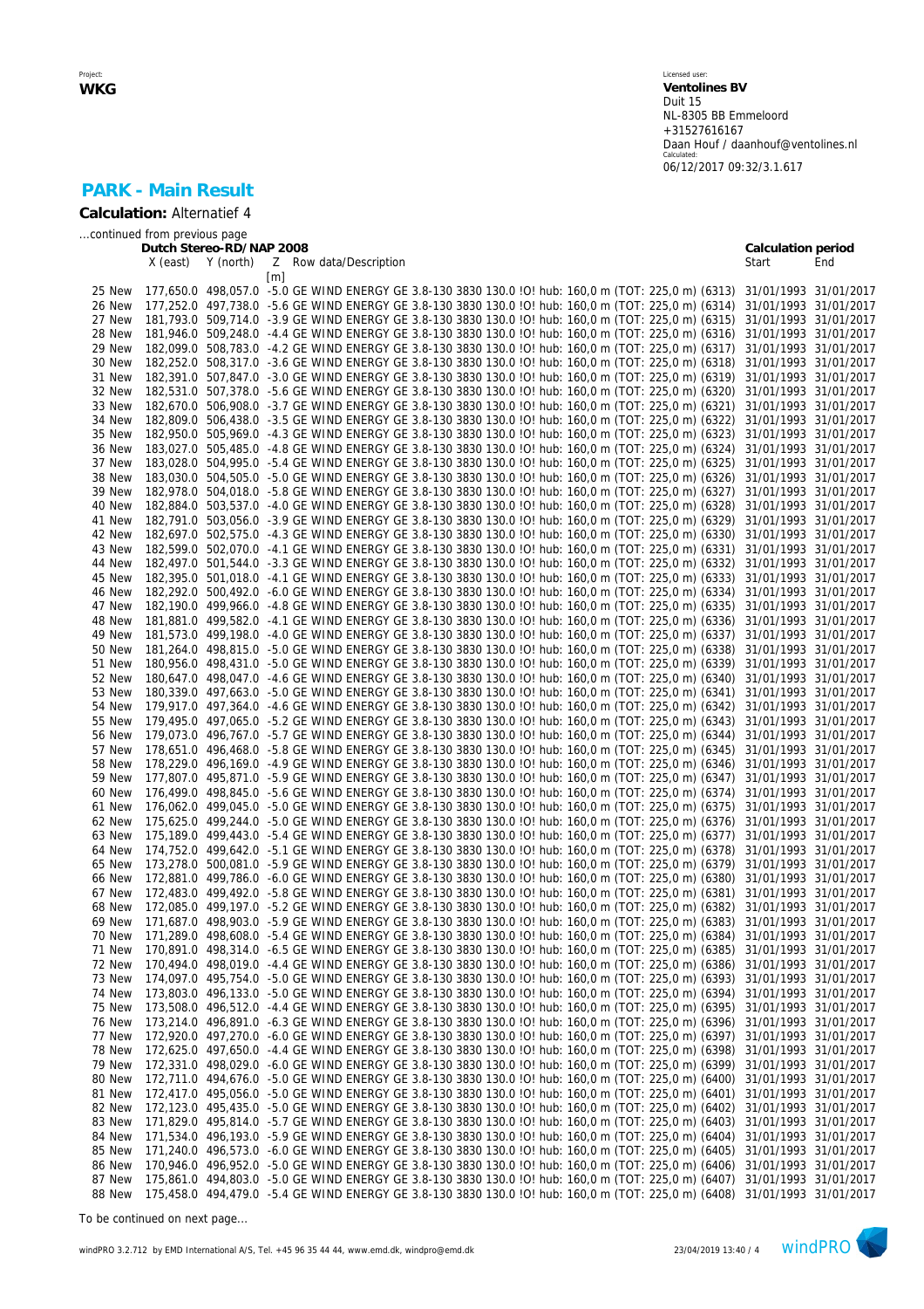Licensed user: **Ventolines BV**  Duit 15 NL-8305 BB Emmeloord +31527616167 Daan Houf / daanhouf@ventolines.nl Calculated: 06/12/2017 09:32/3.1.617

# **PARK - Main Result**

**Calculation:** Alternatief 4

*...continued from previous page*

| Y (north)<br>X (east)<br>Z<br>Row data/Description<br>Start<br>End<br>$\lceil m \rceil$<br>177,650.0 498,057.0 -5.0 GE WIND ENERGY GE 3.8-130 3830 130.0 !O! hub: 160,0 m (TOT: 225,0 m) (6313) 31/01/1993 31/01/2017<br>25 New<br>177,252.0 497,738.0 -5.6 GE WIND ENERGY GE 3.8-130 3830 130.0 IO! hub: 160,0 m (TOT: 225,0 m) (6314)<br>26 New<br>31/01/1993 31/01/2017<br>181,793.0 509,714.0 -3.9 GE WIND ENERGY GE 3.8-130 3830 130.0 !O! hub: 160,0 m (TOT: 225,0 m) (6315)<br>27 New<br>31/01/1993 31/01/2017<br>181,946.0 509,248.0 -4.4 GE WIND ENERGY GE 3.8-130 3830 130.0 !O! hub: 160,0 m (TOT: 225,0 m) (6316)<br>28 New<br>31/01/1993 31/01/2017<br>182,099.0 508,783.0 -4.2 GE WIND ENERGY GE 3.8-130 3830 130.0 !O! hub: 160,0 m (TOT: 225,0 m) (6317)<br>29 New<br>31/01/1993 31/01/2017<br>182,252.0 508,317.0 -3.6 GE WIND ENERGY GE 3.8-130 3830 130.0 !O! hub: 160,0 m (TOT: 225,0 m) (6318)<br>30 New<br>31/01/1993 31/01/2017<br>182,391.0 507,847.0 -3.0 GE WIND ENERGY GE 3.8-130 3830 130.0 IO! hub: 160,0 m (TOT: 225,0 m) (6319)<br>31 New<br>31/01/1993 31/01/2017<br>182,531.0 507,378.0 -5.6 GE WIND ENERGY GE 3.8-130 3830 130.0 !O! hub: 160,0 m (TOT: 225,0 m) (6320)<br>32 New<br>31/01/1993 31/01/2017<br>182,670.0 506,908.0 -3.7 GE WIND ENERGY GE 3.8-130 3830 130.0 IO! hub: 160,0 m (TOT: 225,0 m) (6321)<br>33 New<br>31/01/1993 31/01/2017<br>182,809.0 506,438.0 -3.5 GE WIND ENERGY GE 3.8-130 3830 130.0 !O! hub: 160,0 m (TOT: 225,0 m) (6322)<br>34 New<br>31/01/1993 31/01/2017<br>35 New<br>182,950.0 505,969.0 -4.3 GE WIND ENERGY GE 3.8-130 3830 130.0 IO! hub: 160,0 m (TOT: 225,0 m) (6323)<br>31/01/1993 31/01/2017<br>183,027.0 505,485.0 -4.8 GE WIND ENERGY GE 3.8-130 3830 130.0 !O! hub: 160,0 m (TOT: 225,0 m) (6324)<br>36 New<br>31/01/1993 31/01/2017<br>183,028.0 504,995.0 -5.4 GE WIND ENERGY GE 3.8-130 3830 130.0 !O! hub: 160,0 m (TOT: 225,0 m) (6325)<br>37 New<br>31/01/1993 31/01/2017<br>183,030.0 504,505.0 -5.0 GE WIND ENERGY GE 3.8-130 3830 130.0 !O! hub: 160,0 m (TOT: 225,0 m) (6326)<br>38 New<br>31/01/1993 31/01/2017<br>182,978.0 504,018.0 -5.8 GE WIND ENERGY GE 3.8-130 3830 130.0 !O! hub: 160,0 m (TOT: 225,0 m) (6327)<br>39 New<br>31/01/1993 31/01/2017<br>182,884.0 503,537.0 -4.0 GE WIND ENERGY GE 3.8-130 3830 130.0 IO! hub: 160,0 m (TOT: 225,0 m) (6328)<br>40 New<br>31/01/1993 31/01/2017<br>182,791.0 503,056.0 -3.9 GE WIND ENERGY GE 3.8-130 3830 130.0 IO! hub: 160,0 m (TOT: 225,0 m) (6329)<br>41 New<br>31/01/1993 31/01/2017<br>182,697.0 502,575.0 -4.3 GE WIND ENERGY GE 3.8-130 3830 130.0 !O! hub: 160,0 m (TOT: 225,0 m) (6330)<br>42 New<br>31/01/1993 31/01/2017<br>182,599.0 502,070.0 -4.1 GE WIND ENERGY GE 3.8-130 3830 130.0 !O! hub: 160,0 m (TOT: 225,0 m) (6331)<br>43 New<br>31/01/1993 31/01/2017<br>182,497.0 501,544.0 -3.3 GE WIND ENERGY GE 3.8-130 3830 130.0 !O! hub: 160,0 m (TOT: 225,0 m) (6332)<br>44 New<br>31/01/1993 31/01/2017<br>182,395.0 501,018.0 -4.1 GE WIND ENERGY GE 3.8-130 3830 130.0 IO! hub: 160,0 m (TOT: 225,0 m) (6333)<br>45 New<br>31/01/1993 31/01/2017<br>182,292.0 500,492.0 -6.0 GE WIND ENERGY GE 3.8-130 3830 130.0 !O! hub: 160,0 m (TOT: 225,0 m) (6334)<br>46 New<br>31/01/1993 31/01/2017<br>182,190.0 499,966.0 -4.8 GE WIND ENERGY GE 3.8-130 3830 130.0 !O! hub: 160,0 m (TOT: 225,0 m) (6335)<br>47 New<br>31/01/1993 31/01/2017<br>181.881.0 499.582.0 -4.1 GE WIND ENERGY GE 3.8-130 3830 130.0 IO! hub: 160.0 m (TOT: 225.0 m) (6336)<br>48 New<br>31/01/1993 31/01/2017<br>181,573.0 499,198.0 -4.0 GE WIND ENERGY GE 3.8-130 3830 130.0 !O! hub: 160,0 m (TOT: 225,0 m) (6337)<br>49 New<br>31/01/1993 31/01/2017<br>181,264.0 498,815.0 -5.0 GE WIND ENERGY GE 3.8-130 3830 130.0 IO! hub: 160,0 m (TOT: 225,0 m) (6338)<br>50 New<br>31/01/1993 31/01/2017<br>180,956.0 498,431.0 -5.0 GE WIND ENERGY GE 3.8-130 3830 130.0 !O! hub: 160,0 m (TOT: 225,0 m) (6339)<br>51 New<br>31/01/1993 31/01/2017<br>180,647.0 498,047.0 -4.6 GE WIND ENERGY GE 3.8-130 3830 130.0 !O! hub: 160,0 m (TOT: 225,0 m) (6340)<br>52 New<br>31/01/1993 31/01/2017<br>180,339.0 497,663.0 -5.0 GE WIND ENERGY GE 3.8-130 3830 130.0 !O! hub: 160,0 m (TOT: 225,0 m) (6341)<br>53 New<br>31/01/1993 31/01/2017<br>179,917.0 497,364.0 -4.6 GE WIND ENERGY GE 3.8-130 3830 130.0 !O! hub: 160,0 m (TOT: 225,0 m) (6342)<br>54 New<br>31/01/1993 31/01/2017<br>179,495.0 497,065.0 -5.2 GE WIND ENERGY GE 3.8-130 3830 130.0 !O! hub: 160,0 m (TOT: 225,0 m) (6343)<br>55 New<br>31/01/1993 31/01/2017<br>179,073.0 496,767.0 -5.7 GE WIND ENERGY GE 3.8-130 3830 130.0 !O! hub: 160,0 m (TOT: 225,0 m) (6344)<br>56 New<br>31/01/1993<br>31/01/2017<br>178,651.0 496,468.0 -5.8 GE WIND ENERGY GE 3.8-130 3830 130.0 !O! hub: 160,0 m (TOT: 225,0 m) (6345)<br>57 New<br>31/01/1993 31/01/2017<br>178,229.0 496,169.0 -4.9 GE WIND ENERGY GE 3.8-130 3830 130.0 IO! hub: 160,0 m (TOT: 225,0 m) (6346)<br>58 New<br>31/01/1993 31/01/2017<br>177,807.0 495,871.0 -5.9 GE WIND ENERGY GE 3.8-130 3830 130.0 IO! hub: 160,0 m (TOT: 225,0 m) (6347)<br>59 New<br>31/01/1993 31/01/2017<br>176,499.0 498,845.0 -5.6 GE WIND ENERGY GE 3.8-130 3830 130.0 !O! hub: 160,0 m (TOT: 225,0 m) (6374)<br>60 New<br>31/01/1993 31/01/2017<br>176,062.0 499,045.0 -5.0 GE WIND ENERGY GE 3.8-130 3830 130.0 IO! hub: 160,0 m (TOT: 225,0 m) (6375)<br>61 New<br>31/01/1993 31/01/2017<br>175,625.0 499,244.0 -5.0 GE WIND ENERGY GE 3.8-130 3830 130.0 !O! hub: 160,0 m (TOT: 225,0 m) (6376)<br>62 New<br>31/01/1993 31/01/2017<br>175,189.0 499,443.0 -5.4 GE WIND ENERGY GE 3.8-130 3830 130.0 !O! hub: 160,0 m (TOT: 225,0 m) (6377)<br>63 New<br>31/01/1993 31/01/2017<br>174,752.0 499,642.0 -5.1 GE WIND ENERGY GE 3.8-130 3830 130.0 !O! hub: 160,0 m (TOT: 225,0 m) (6378)<br>64 New<br>31/01/1993 31/01/2017<br>173,278.0 500,081.0 -5.9 GE WIND ENERGY GE 3.8-130 3830 130.0 !O! hub: 160,0 m (TOT: 225,0 m) (6379)<br>31/01/1993 31/01/2017<br>65 New<br>172,881.0 499,786.0 -6.0 GE WIND ENERGY GE 3.8-130 3830 130.0 !O! hub: 160,0 m (TOT: 225,0 m) (6380)<br>66 New<br>31/01/1993 31/01/2017<br>172,483.0 499,492.0 -5.8 GE WIND ENERGY GE 3.8-130 3830 130.0 !O! hub: 160,0 m (TOT: 225,0 m) (6381)<br>67 New<br>31/01/1993 31/01/2017<br>68 New<br>172,085.0 499,197.0 -5.2 GE WIND ENERGY GE 3.8-130 3830 130.0 !O! hub: 160,0 m (TOT: 225,0 m) (6382)<br>31/01/1993 31/01/2017<br>171,687.0 498,903.0 -5.9 GE WIND ENERGY GE 3.8-130 3830 130.0 !O! hub: 160,0 m (TOT: 225,0 m) (6383)<br>31/01/1993 31/01/2017<br>69 New<br>171,289.0 498,608.0 -5.4 GE WIND ENERGY GE 3.8-130 3830 130.0 !O! hub: 160,0 m (TOT: 225,0 m) (6384) 31/01/1993 31/01/2017<br>70 New<br>170,891.0 498,314.0 -6.5 GE WIND ENERGY GE 3.8-130 3830 130.0 !O! hub: 160,0 m (TOT: 225,0 m) (6385) 31/01/1993 31/01/2017<br>71 New<br>170,494.0 498,019.0 -4.4 GE WIND ENERGY GE 3.8-130 3830 130.0 !O! hub: 160,0 m (TOT: 225,0 m) (6386) 31/01/1993 31/01/2017<br>72 New<br>174,097.0 495,754.0 -5.0 GE WIND ENERGY GE 3.8-130 3830 130.0 IO! hub: 160,0 m (TOT: 225,0 m) (6393) 31/01/1993 31/01/2017<br>73 New<br>173,803.0 496,133.0 -5.0 GE WIND ENERGY GE 3.8-130 3830 130.0 IO! hub: 160,0 m (TOT: 225,0 m) (6394) 31/01/1993 31/01/2017<br>74 New<br>173,508.0 496,512.0 -4.4 GE WIND ENERGY GE 3.8-130 3830 130.0 IO! hub: 160,0 m (TOT: 225,0 m) (6395) 31/01/1993 31/01/2017<br>75 New<br>173,214.0 496,891.0 -6.3 GE WIND ENERGY GE 3.8-130 3830 130.0 IO! hub: 160,0 m (TOT: 225,0 m) (6396) 31/01/1993 31/01/2017<br>76 New<br>172,920.0 497,270.0 -6.0 GE WIND ENERGY GE 3.8-130 3830 130.0 IO! hub: 160,0 m (TOT: 225,0 m) (6397) 31/01/1993 31/01/2017<br>77 New<br>172,625.0 497,650.0 -4.4 GE WIND ENERGY GE 3.8-130 3830 130.0 !O! hub: 160,0 m (TOT: 225,0 m) (6398) 31/01/1993 31/01/2017<br>78 New<br>172,331.0 498,029.0 -6.0 GE WIND ENERGY GE 3.8-130 3830 130.0 !O! hub: 160,0 m (TOT: 225,0 m) (6399) 31/01/1993 31/01/2017<br>79 New<br>172,711.0 494,676.0 -5.0 GE WIND ENERGY GE 3.8-130 3830 130.0 !O! hub: 160,0 m (TOT: 225,0 m) (6400) 31/01/1993 31/01/2017<br>80 New<br>172,417.0 495,056.0 -5.0 GE WIND ENERGY GE 3.8-130 3830 130.0 !O! hub: 160,0 m (TOT: 225,0 m) (6401) 31/01/1993 31/01/2017<br>81 New<br>172,123.0 495,435.0 -5.0 GE WIND ENERGY GE 3.8-130 3830 130.0 !O! hub: 160,0 m (TOT: 225,0 m) (6402) 31/01/1993 31/01/2017<br>82 New<br>171,829.0 495,814.0 -5.7 GE WIND ENERGY GE 3.8-130 3830 130.0 !O! hub: 160,0 m (TOT: 225,0 m) (6403) 31/01/1993 31/01/2017<br>83 New<br>84 New<br>171,534.0 496,193.0 -5.9 GE WIND ENERGY GE 3.8-130 3830 130.0 IO! hub: 160,0 m (TOT: 225,0 m) (6404) 31/01/1993 31/01/2017<br>171,240.0 496,573.0 -6.0 GE WIND ENERGY GE 3.8-130 3830 130.0 !O! hub: 160,0 m (TOT: 225,0 m) (6405) 31/01/1993 31/01/2017<br>85 New<br>170,946.0 496,952.0 -5.0 GE WIND ENERGY GE 3.8-130 3830 130.0 IO! hub: 160,0 m (TOT: 225,0 m) (6406) 31/01/1993 31/01/2017<br>86 New<br>175,861.0 494,803.0 -5.0 GE WIND ENERGY GE 3.8-130 3830 130.0 IO! hub: 160,0 m (TOT: 225,0 m) (6407) 31/01/1993 31/01/2017<br>87 New<br>175,458.0 494,479.0 -5.4 GE WIND ENERGY GE 3.8-130 3830 130.0 !O! hub: 160,0 m (TOT: 225,0 m) (6408) 31/01/1993 31/01/2017<br>88 New | Dutch Stereo-RD/NAP 2008 |  | Calculation period |  |
|------------------------------------------------------------------------------------------------------------------------------------------------------------------------------------------------------------------------------------------------------------------------------------------------------------------------------------------------------------------------------------------------------------------------------------------------------------------------------------------------------------------------------------------------------------------------------------------------------------------------------------------------------------------------------------------------------------------------------------------------------------------------------------------------------------------------------------------------------------------------------------------------------------------------------------------------------------------------------------------------------------------------------------------------------------------------------------------------------------------------------------------------------------------------------------------------------------------------------------------------------------------------------------------------------------------------------------------------------------------------------------------------------------------------------------------------------------------------------------------------------------------------------------------------------------------------------------------------------------------------------------------------------------------------------------------------------------------------------------------------------------------------------------------------------------------------------------------------------------------------------------------------------------------------------------------------------------------------------------------------------------------------------------------------------------------------------------------------------------------------------------------------------------------------------------------------------------------------------------------------------------------------------------------------------------------------------------------------------------------------------------------------------------------------------------------------------------------------------------------------------------------------------------------------------------------------------------------------------------------------------------------------------------------------------------------------------------------------------------------------------------------------------------------------------------------------------------------------------------------------------------------------------------------------------------------------------------------------------------------------------------------------------------------------------------------------------------------------------------------------------------------------------------------------------------------------------------------------------------------------------------------------------------------------------------------------------------------------------------------------------------------------------------------------------------------------------------------------------------------------------------------------------------------------------------------------------------------------------------------------------------------------------------------------------------------------------------------------------------------------------------------------------------------------------------------------------------------------------------------------------------------------------------------------------------------------------------------------------------------------------------------------------------------------------------------------------------------------------------------------------------------------------------------------------------------------------------------------------------------------------------------------------------------------------------------------------------------------------------------------------------------------------------------------------------------------------------------------------------------------------------------------------------------------------------------------------------------------------------------------------------------------------------------------------------------------------------------------------------------------------------------------------------------------------------------------------------------------------------------------------------------------------------------------------------------------------------------------------------------------------------------------------------------------------------------------------------------------------------------------------------------------------------------------------------------------------------------------------------------------------------------------------------------------------------------------------------------------------------------------------------------------------------------------------------------------------------------------------------------------------------------------------------------------------------------------------------------------------------------------------------------------------------------------------------------------------------------------------------------------------------------------------------------------------------------------------------------------------------------------------------------------------------------------------------------------------------------------------------------------------------------------------------------------------------------------------------------------------------------------------------------------------------------------------------------------------------------------------------------------------------------------------------------------------------------------------------------------------------------------------------------------------------------------------------------------------------------------------------------------------------------------------------------------------------------------------------------------------------------------------------------------------------------------------------------------------------------------------------------------------------------------------------------------------------------------------------------------------------------------------------------------------------------------------------------------------------------------------------------------------------------------------------------------------------------------------------------------------------------------------------------------------------------------------------------------------------------------------------------------------------------------------------------------------------------------------------------------------------------------------------------------------------------------------------------------------------------------------------------------------------------------------------------------------------------------------------------------------------------------------------------------------------------------------------------------------------------------------------------------------------------------------------------------------------------------------------------------------------------------------------------------------------------------------------------------------------------------------------------------------------------------------------------------------------------------------------------------------------------------------------------------------------------------------------------------------------------------------------------------------------------------------------------------------------------------------------------------------------------------------------------------------------------------------------------------------------------------------------------------------------------------------------------------------------------------------------------------------------------------------------------------------------------------------------------------------------------------------------------------------------------------------------------------------------------------------------------------------------------------------------------------------------------------------------------------------------------------------------------------------------------------------------------------------------------------------------------------------------------------------------------------------------------------------------------------------------------------------------------------------------------------------------------------|--------------------------|--|--------------------|--|
|                                                                                                                                                                                                                                                                                                                                                                                                                                                                                                                                                                                                                                                                                                                                                                                                                                                                                                                                                                                                                                                                                                                                                                                                                                                                                                                                                                                                                                                                                                                                                                                                                                                                                                                                                                                                                                                                                                                                                                                                                                                                                                                                                                                                                                                                                                                                                                                                                                                                                                                                                                                                                                                                                                                                                                                                                                                                                                                                                                                                                                                                                                                                                                                                                                                                                                                                                                                                                                                                                                                                                                                                                                                                                                                                                                                                                                                                                                                                                                                                                                                                                                                                                                                                                                                                                                                                                                                                                                                                                                                                                                                                                                                                                                                                                                                                                                                                                                                                                                                                                                                                                                                                                                                                                                                                                                                                                                                                                                                                                                                                                                                                                                                                                                                                                                                                                                                                                                                                                                                                                                                                                                                                                                                                                                                                                                                                                                                                                                                                                                                                                                                                                                                                                                                                                                                                                                                                                                                                                                                                                                                                                                                                                                                                                                                                                                                                                                                                                                                                                                                                                                                                                                                                                                                                                                                                                                                                                                                                                                                                                                                                                                                                                                                                                                                                                                                                                                                                                                                                                                                                                                                                                                                                                                                                                                                                                                                                                                                                                                                                                                                                                                                                                                                                                                                                                                |                          |  |                    |  |
|                                                                                                                                                                                                                                                                                                                                                                                                                                                                                                                                                                                                                                                                                                                                                                                                                                                                                                                                                                                                                                                                                                                                                                                                                                                                                                                                                                                                                                                                                                                                                                                                                                                                                                                                                                                                                                                                                                                                                                                                                                                                                                                                                                                                                                                                                                                                                                                                                                                                                                                                                                                                                                                                                                                                                                                                                                                                                                                                                                                                                                                                                                                                                                                                                                                                                                                                                                                                                                                                                                                                                                                                                                                                                                                                                                                                                                                                                                                                                                                                                                                                                                                                                                                                                                                                                                                                                                                                                                                                                                                                                                                                                                                                                                                                                                                                                                                                                                                                                                                                                                                                                                                                                                                                                                                                                                                                                                                                                                                                                                                                                                                                                                                                                                                                                                                                                                                                                                                                                                                                                                                                                                                                                                                                                                                                                                                                                                                                                                                                                                                                                                                                                                                                                                                                                                                                                                                                                                                                                                                                                                                                                                                                                                                                                                                                                                                                                                                                                                                                                                                                                                                                                                                                                                                                                                                                                                                                                                                                                                                                                                                                                                                                                                                                                                                                                                                                                                                                                                                                                                                                                                                                                                                                                                                                                                                                                                                                                                                                                                                                                                                                                                                                                                                                                                                                                                |                          |  |                    |  |
|                                                                                                                                                                                                                                                                                                                                                                                                                                                                                                                                                                                                                                                                                                                                                                                                                                                                                                                                                                                                                                                                                                                                                                                                                                                                                                                                                                                                                                                                                                                                                                                                                                                                                                                                                                                                                                                                                                                                                                                                                                                                                                                                                                                                                                                                                                                                                                                                                                                                                                                                                                                                                                                                                                                                                                                                                                                                                                                                                                                                                                                                                                                                                                                                                                                                                                                                                                                                                                                                                                                                                                                                                                                                                                                                                                                                                                                                                                                                                                                                                                                                                                                                                                                                                                                                                                                                                                                                                                                                                                                                                                                                                                                                                                                                                                                                                                                                                                                                                                                                                                                                                                                                                                                                                                                                                                                                                                                                                                                                                                                                                                                                                                                                                                                                                                                                                                                                                                                                                                                                                                                                                                                                                                                                                                                                                                                                                                                                                                                                                                                                                                                                                                                                                                                                                                                                                                                                                                                                                                                                                                                                                                                                                                                                                                                                                                                                                                                                                                                                                                                                                                                                                                                                                                                                                                                                                                                                                                                                                                                                                                                                                                                                                                                                                                                                                                                                                                                                                                                                                                                                                                                                                                                                                                                                                                                                                                                                                                                                                                                                                                                                                                                                                                                                                                                                                                |                          |  |                    |  |
|                                                                                                                                                                                                                                                                                                                                                                                                                                                                                                                                                                                                                                                                                                                                                                                                                                                                                                                                                                                                                                                                                                                                                                                                                                                                                                                                                                                                                                                                                                                                                                                                                                                                                                                                                                                                                                                                                                                                                                                                                                                                                                                                                                                                                                                                                                                                                                                                                                                                                                                                                                                                                                                                                                                                                                                                                                                                                                                                                                                                                                                                                                                                                                                                                                                                                                                                                                                                                                                                                                                                                                                                                                                                                                                                                                                                                                                                                                                                                                                                                                                                                                                                                                                                                                                                                                                                                                                                                                                                                                                                                                                                                                                                                                                                                                                                                                                                                                                                                                                                                                                                                                                                                                                                                                                                                                                                                                                                                                                                                                                                                                                                                                                                                                                                                                                                                                                                                                                                                                                                                                                                                                                                                                                                                                                                                                                                                                                                                                                                                                                                                                                                                                                                                                                                                                                                                                                                                                                                                                                                                                                                                                                                                                                                                                                                                                                                                                                                                                                                                                                                                                                                                                                                                                                                                                                                                                                                                                                                                                                                                                                                                                                                                                                                                                                                                                                                                                                                                                                                                                                                                                                                                                                                                                                                                                                                                                                                                                                                                                                                                                                                                                                                                                                                                                                                                                |                          |  |                    |  |
|                                                                                                                                                                                                                                                                                                                                                                                                                                                                                                                                                                                                                                                                                                                                                                                                                                                                                                                                                                                                                                                                                                                                                                                                                                                                                                                                                                                                                                                                                                                                                                                                                                                                                                                                                                                                                                                                                                                                                                                                                                                                                                                                                                                                                                                                                                                                                                                                                                                                                                                                                                                                                                                                                                                                                                                                                                                                                                                                                                                                                                                                                                                                                                                                                                                                                                                                                                                                                                                                                                                                                                                                                                                                                                                                                                                                                                                                                                                                                                                                                                                                                                                                                                                                                                                                                                                                                                                                                                                                                                                                                                                                                                                                                                                                                                                                                                                                                                                                                                                                                                                                                                                                                                                                                                                                                                                                                                                                                                                                                                                                                                                                                                                                                                                                                                                                                                                                                                                                                                                                                                                                                                                                                                                                                                                                                                                                                                                                                                                                                                                                                                                                                                                                                                                                                                                                                                                                                                                                                                                                                                                                                                                                                                                                                                                                                                                                                                                                                                                                                                                                                                                                                                                                                                                                                                                                                                                                                                                                                                                                                                                                                                                                                                                                                                                                                                                                                                                                                                                                                                                                                                                                                                                                                                                                                                                                                                                                                                                                                                                                                                                                                                                                                                                                                                                                                                |                          |  |                    |  |
|                                                                                                                                                                                                                                                                                                                                                                                                                                                                                                                                                                                                                                                                                                                                                                                                                                                                                                                                                                                                                                                                                                                                                                                                                                                                                                                                                                                                                                                                                                                                                                                                                                                                                                                                                                                                                                                                                                                                                                                                                                                                                                                                                                                                                                                                                                                                                                                                                                                                                                                                                                                                                                                                                                                                                                                                                                                                                                                                                                                                                                                                                                                                                                                                                                                                                                                                                                                                                                                                                                                                                                                                                                                                                                                                                                                                                                                                                                                                                                                                                                                                                                                                                                                                                                                                                                                                                                                                                                                                                                                                                                                                                                                                                                                                                                                                                                                                                                                                                                                                                                                                                                                                                                                                                                                                                                                                                                                                                                                                                                                                                                                                                                                                                                                                                                                                                                                                                                                                                                                                                                                                                                                                                                                                                                                                                                                                                                                                                                                                                                                                                                                                                                                                                                                                                                                                                                                                                                                                                                                                                                                                                                                                                                                                                                                                                                                                                                                                                                                                                                                                                                                                                                                                                                                                                                                                                                                                                                                                                                                                                                                                                                                                                                                                                                                                                                                                                                                                                                                                                                                                                                                                                                                                                                                                                                                                                                                                                                                                                                                                                                                                                                                                                                                                                                                                                                |                          |  |                    |  |
|                                                                                                                                                                                                                                                                                                                                                                                                                                                                                                                                                                                                                                                                                                                                                                                                                                                                                                                                                                                                                                                                                                                                                                                                                                                                                                                                                                                                                                                                                                                                                                                                                                                                                                                                                                                                                                                                                                                                                                                                                                                                                                                                                                                                                                                                                                                                                                                                                                                                                                                                                                                                                                                                                                                                                                                                                                                                                                                                                                                                                                                                                                                                                                                                                                                                                                                                                                                                                                                                                                                                                                                                                                                                                                                                                                                                                                                                                                                                                                                                                                                                                                                                                                                                                                                                                                                                                                                                                                                                                                                                                                                                                                                                                                                                                                                                                                                                                                                                                                                                                                                                                                                                                                                                                                                                                                                                                                                                                                                                                                                                                                                                                                                                                                                                                                                                                                                                                                                                                                                                                                                                                                                                                                                                                                                                                                                                                                                                                                                                                                                                                                                                                                                                                                                                                                                                                                                                                                                                                                                                                                                                                                                                                                                                                                                                                                                                                                                                                                                                                                                                                                                                                                                                                                                                                                                                                                                                                                                                                                                                                                                                                                                                                                                                                                                                                                                                                                                                                                                                                                                                                                                                                                                                                                                                                                                                                                                                                                                                                                                                                                                                                                                                                                                                                                                                                                |                          |  |                    |  |
|                                                                                                                                                                                                                                                                                                                                                                                                                                                                                                                                                                                                                                                                                                                                                                                                                                                                                                                                                                                                                                                                                                                                                                                                                                                                                                                                                                                                                                                                                                                                                                                                                                                                                                                                                                                                                                                                                                                                                                                                                                                                                                                                                                                                                                                                                                                                                                                                                                                                                                                                                                                                                                                                                                                                                                                                                                                                                                                                                                                                                                                                                                                                                                                                                                                                                                                                                                                                                                                                                                                                                                                                                                                                                                                                                                                                                                                                                                                                                                                                                                                                                                                                                                                                                                                                                                                                                                                                                                                                                                                                                                                                                                                                                                                                                                                                                                                                                                                                                                                                                                                                                                                                                                                                                                                                                                                                                                                                                                                                                                                                                                                                                                                                                                                                                                                                                                                                                                                                                                                                                                                                                                                                                                                                                                                                                                                                                                                                                                                                                                                                                                                                                                                                                                                                                                                                                                                                                                                                                                                                                                                                                                                                                                                                                                                                                                                                                                                                                                                                                                                                                                                                                                                                                                                                                                                                                                                                                                                                                                                                                                                                                                                                                                                                                                                                                                                                                                                                                                                                                                                                                                                                                                                                                                                                                                                                                                                                                                                                                                                                                                                                                                                                                                                                                                                                                                |                          |  |                    |  |
|                                                                                                                                                                                                                                                                                                                                                                                                                                                                                                                                                                                                                                                                                                                                                                                                                                                                                                                                                                                                                                                                                                                                                                                                                                                                                                                                                                                                                                                                                                                                                                                                                                                                                                                                                                                                                                                                                                                                                                                                                                                                                                                                                                                                                                                                                                                                                                                                                                                                                                                                                                                                                                                                                                                                                                                                                                                                                                                                                                                                                                                                                                                                                                                                                                                                                                                                                                                                                                                                                                                                                                                                                                                                                                                                                                                                                                                                                                                                                                                                                                                                                                                                                                                                                                                                                                                                                                                                                                                                                                                                                                                                                                                                                                                                                                                                                                                                                                                                                                                                                                                                                                                                                                                                                                                                                                                                                                                                                                                                                                                                                                                                                                                                                                                                                                                                                                                                                                                                                                                                                                                                                                                                                                                                                                                                                                                                                                                                                                                                                                                                                                                                                                                                                                                                                                                                                                                                                                                                                                                                                                                                                                                                                                                                                                                                                                                                                                                                                                                                                                                                                                                                                                                                                                                                                                                                                                                                                                                                                                                                                                                                                                                                                                                                                                                                                                                                                                                                                                                                                                                                                                                                                                                                                                                                                                                                                                                                                                                                                                                                                                                                                                                                                                                                                                                                                                |                          |  |                    |  |
|                                                                                                                                                                                                                                                                                                                                                                                                                                                                                                                                                                                                                                                                                                                                                                                                                                                                                                                                                                                                                                                                                                                                                                                                                                                                                                                                                                                                                                                                                                                                                                                                                                                                                                                                                                                                                                                                                                                                                                                                                                                                                                                                                                                                                                                                                                                                                                                                                                                                                                                                                                                                                                                                                                                                                                                                                                                                                                                                                                                                                                                                                                                                                                                                                                                                                                                                                                                                                                                                                                                                                                                                                                                                                                                                                                                                                                                                                                                                                                                                                                                                                                                                                                                                                                                                                                                                                                                                                                                                                                                                                                                                                                                                                                                                                                                                                                                                                                                                                                                                                                                                                                                                                                                                                                                                                                                                                                                                                                                                                                                                                                                                                                                                                                                                                                                                                                                                                                                                                                                                                                                                                                                                                                                                                                                                                                                                                                                                                                                                                                                                                                                                                                                                                                                                                                                                                                                                                                                                                                                                                                                                                                                                                                                                                                                                                                                                                                                                                                                                                                                                                                                                                                                                                                                                                                                                                                                                                                                                                                                                                                                                                                                                                                                                                                                                                                                                                                                                                                                                                                                                                                                                                                                                                                                                                                                                                                                                                                                                                                                                                                                                                                                                                                                                                                                                                                |                          |  |                    |  |
|                                                                                                                                                                                                                                                                                                                                                                                                                                                                                                                                                                                                                                                                                                                                                                                                                                                                                                                                                                                                                                                                                                                                                                                                                                                                                                                                                                                                                                                                                                                                                                                                                                                                                                                                                                                                                                                                                                                                                                                                                                                                                                                                                                                                                                                                                                                                                                                                                                                                                                                                                                                                                                                                                                                                                                                                                                                                                                                                                                                                                                                                                                                                                                                                                                                                                                                                                                                                                                                                                                                                                                                                                                                                                                                                                                                                                                                                                                                                                                                                                                                                                                                                                                                                                                                                                                                                                                                                                                                                                                                                                                                                                                                                                                                                                                                                                                                                                                                                                                                                                                                                                                                                                                                                                                                                                                                                                                                                                                                                                                                                                                                                                                                                                                                                                                                                                                                                                                                                                                                                                                                                                                                                                                                                                                                                                                                                                                                                                                                                                                                                                                                                                                                                                                                                                                                                                                                                                                                                                                                                                                                                                                                                                                                                                                                                                                                                                                                                                                                                                                                                                                                                                                                                                                                                                                                                                                                                                                                                                                                                                                                                                                                                                                                                                                                                                                                                                                                                                                                                                                                                                                                                                                                                                                                                                                                                                                                                                                                                                                                                                                                                                                                                                                                                                                                                                                |                          |  |                    |  |
|                                                                                                                                                                                                                                                                                                                                                                                                                                                                                                                                                                                                                                                                                                                                                                                                                                                                                                                                                                                                                                                                                                                                                                                                                                                                                                                                                                                                                                                                                                                                                                                                                                                                                                                                                                                                                                                                                                                                                                                                                                                                                                                                                                                                                                                                                                                                                                                                                                                                                                                                                                                                                                                                                                                                                                                                                                                                                                                                                                                                                                                                                                                                                                                                                                                                                                                                                                                                                                                                                                                                                                                                                                                                                                                                                                                                                                                                                                                                                                                                                                                                                                                                                                                                                                                                                                                                                                                                                                                                                                                                                                                                                                                                                                                                                                                                                                                                                                                                                                                                                                                                                                                                                                                                                                                                                                                                                                                                                                                                                                                                                                                                                                                                                                                                                                                                                                                                                                                                                                                                                                                                                                                                                                                                                                                                                                                                                                                                                                                                                                                                                                                                                                                                                                                                                                                                                                                                                                                                                                                                                                                                                                                                                                                                                                                                                                                                                                                                                                                                                                                                                                                                                                                                                                                                                                                                                                                                                                                                                                                                                                                                                                                                                                                                                                                                                                                                                                                                                                                                                                                                                                                                                                                                                                                                                                                                                                                                                                                                                                                                                                                                                                                                                                                                                                                                                                |                          |  |                    |  |
|                                                                                                                                                                                                                                                                                                                                                                                                                                                                                                                                                                                                                                                                                                                                                                                                                                                                                                                                                                                                                                                                                                                                                                                                                                                                                                                                                                                                                                                                                                                                                                                                                                                                                                                                                                                                                                                                                                                                                                                                                                                                                                                                                                                                                                                                                                                                                                                                                                                                                                                                                                                                                                                                                                                                                                                                                                                                                                                                                                                                                                                                                                                                                                                                                                                                                                                                                                                                                                                                                                                                                                                                                                                                                                                                                                                                                                                                                                                                                                                                                                                                                                                                                                                                                                                                                                                                                                                                                                                                                                                                                                                                                                                                                                                                                                                                                                                                                                                                                                                                                                                                                                                                                                                                                                                                                                                                                                                                                                                                                                                                                                                                                                                                                                                                                                                                                                                                                                                                                                                                                                                                                                                                                                                                                                                                                                                                                                                                                                                                                                                                                                                                                                                                                                                                                                                                                                                                                                                                                                                                                                                                                                                                                                                                                                                                                                                                                                                                                                                                                                                                                                                                                                                                                                                                                                                                                                                                                                                                                                                                                                                                                                                                                                                                                                                                                                                                                                                                                                                                                                                                                                                                                                                                                                                                                                                                                                                                                                                                                                                                                                                                                                                                                                                                                                                                                                |                          |  |                    |  |
|                                                                                                                                                                                                                                                                                                                                                                                                                                                                                                                                                                                                                                                                                                                                                                                                                                                                                                                                                                                                                                                                                                                                                                                                                                                                                                                                                                                                                                                                                                                                                                                                                                                                                                                                                                                                                                                                                                                                                                                                                                                                                                                                                                                                                                                                                                                                                                                                                                                                                                                                                                                                                                                                                                                                                                                                                                                                                                                                                                                                                                                                                                                                                                                                                                                                                                                                                                                                                                                                                                                                                                                                                                                                                                                                                                                                                                                                                                                                                                                                                                                                                                                                                                                                                                                                                                                                                                                                                                                                                                                                                                                                                                                                                                                                                                                                                                                                                                                                                                                                                                                                                                                                                                                                                                                                                                                                                                                                                                                                                                                                                                                                                                                                                                                                                                                                                                                                                                                                                                                                                                                                                                                                                                                                                                                                                                                                                                                                                                                                                                                                                                                                                                                                                                                                                                                                                                                                                                                                                                                                                                                                                                                                                                                                                                                                                                                                                                                                                                                                                                                                                                                                                                                                                                                                                                                                                                                                                                                                                                                                                                                                                                                                                                                                                                                                                                                                                                                                                                                                                                                                                                                                                                                                                                                                                                                                                                                                                                                                                                                                                                                                                                                                                                                                                                                                                                |                          |  |                    |  |
|                                                                                                                                                                                                                                                                                                                                                                                                                                                                                                                                                                                                                                                                                                                                                                                                                                                                                                                                                                                                                                                                                                                                                                                                                                                                                                                                                                                                                                                                                                                                                                                                                                                                                                                                                                                                                                                                                                                                                                                                                                                                                                                                                                                                                                                                                                                                                                                                                                                                                                                                                                                                                                                                                                                                                                                                                                                                                                                                                                                                                                                                                                                                                                                                                                                                                                                                                                                                                                                                                                                                                                                                                                                                                                                                                                                                                                                                                                                                                                                                                                                                                                                                                                                                                                                                                                                                                                                                                                                                                                                                                                                                                                                                                                                                                                                                                                                                                                                                                                                                                                                                                                                                                                                                                                                                                                                                                                                                                                                                                                                                                                                                                                                                                                                                                                                                                                                                                                                                                                                                                                                                                                                                                                                                                                                                                                                                                                                                                                                                                                                                                                                                                                                                                                                                                                                                                                                                                                                                                                                                                                                                                                                                                                                                                                                                                                                                                                                                                                                                                                                                                                                                                                                                                                                                                                                                                                                                                                                                                                                                                                                                                                                                                                                                                                                                                                                                                                                                                                                                                                                                                                                                                                                                                                                                                                                                                                                                                                                                                                                                                                                                                                                                                                                                                                                                                                |                          |  |                    |  |
|                                                                                                                                                                                                                                                                                                                                                                                                                                                                                                                                                                                                                                                                                                                                                                                                                                                                                                                                                                                                                                                                                                                                                                                                                                                                                                                                                                                                                                                                                                                                                                                                                                                                                                                                                                                                                                                                                                                                                                                                                                                                                                                                                                                                                                                                                                                                                                                                                                                                                                                                                                                                                                                                                                                                                                                                                                                                                                                                                                                                                                                                                                                                                                                                                                                                                                                                                                                                                                                                                                                                                                                                                                                                                                                                                                                                                                                                                                                                                                                                                                                                                                                                                                                                                                                                                                                                                                                                                                                                                                                                                                                                                                                                                                                                                                                                                                                                                                                                                                                                                                                                                                                                                                                                                                                                                                                                                                                                                                                                                                                                                                                                                                                                                                                                                                                                                                                                                                                                                                                                                                                                                                                                                                                                                                                                                                                                                                                                                                                                                                                                                                                                                                                                                                                                                                                                                                                                                                                                                                                                                                                                                                                                                                                                                                                                                                                                                                                                                                                                                                                                                                                                                                                                                                                                                                                                                                                                                                                                                                                                                                                                                                                                                                                                                                                                                                                                                                                                                                                                                                                                                                                                                                                                                                                                                                                                                                                                                                                                                                                                                                                                                                                                                                                                                                                                                                |                          |  |                    |  |
|                                                                                                                                                                                                                                                                                                                                                                                                                                                                                                                                                                                                                                                                                                                                                                                                                                                                                                                                                                                                                                                                                                                                                                                                                                                                                                                                                                                                                                                                                                                                                                                                                                                                                                                                                                                                                                                                                                                                                                                                                                                                                                                                                                                                                                                                                                                                                                                                                                                                                                                                                                                                                                                                                                                                                                                                                                                                                                                                                                                                                                                                                                                                                                                                                                                                                                                                                                                                                                                                                                                                                                                                                                                                                                                                                                                                                                                                                                                                                                                                                                                                                                                                                                                                                                                                                                                                                                                                                                                                                                                                                                                                                                                                                                                                                                                                                                                                                                                                                                                                                                                                                                                                                                                                                                                                                                                                                                                                                                                                                                                                                                                                                                                                                                                                                                                                                                                                                                                                                                                                                                                                                                                                                                                                                                                                                                                                                                                                                                                                                                                                                                                                                                                                                                                                                                                                                                                                                                                                                                                                                                                                                                                                                                                                                                                                                                                                                                                                                                                                                                                                                                                                                                                                                                                                                                                                                                                                                                                                                                                                                                                                                                                                                                                                                                                                                                                                                                                                                                                                                                                                                                                                                                                                                                                                                                                                                                                                                                                                                                                                                                                                                                                                                                                                                                                                                                |                          |  |                    |  |
|                                                                                                                                                                                                                                                                                                                                                                                                                                                                                                                                                                                                                                                                                                                                                                                                                                                                                                                                                                                                                                                                                                                                                                                                                                                                                                                                                                                                                                                                                                                                                                                                                                                                                                                                                                                                                                                                                                                                                                                                                                                                                                                                                                                                                                                                                                                                                                                                                                                                                                                                                                                                                                                                                                                                                                                                                                                                                                                                                                                                                                                                                                                                                                                                                                                                                                                                                                                                                                                                                                                                                                                                                                                                                                                                                                                                                                                                                                                                                                                                                                                                                                                                                                                                                                                                                                                                                                                                                                                                                                                                                                                                                                                                                                                                                                                                                                                                                                                                                                                                                                                                                                                                                                                                                                                                                                                                                                                                                                                                                                                                                                                                                                                                                                                                                                                                                                                                                                                                                                                                                                                                                                                                                                                                                                                                                                                                                                                                                                                                                                                                                                                                                                                                                                                                                                                                                                                                                                                                                                                                                                                                                                                                                                                                                                                                                                                                                                                                                                                                                                                                                                                                                                                                                                                                                                                                                                                                                                                                                                                                                                                                                                                                                                                                                                                                                                                                                                                                                                                                                                                                                                                                                                                                                                                                                                                                                                                                                                                                                                                                                                                                                                                                                                                                                                                                                                |                          |  |                    |  |
|                                                                                                                                                                                                                                                                                                                                                                                                                                                                                                                                                                                                                                                                                                                                                                                                                                                                                                                                                                                                                                                                                                                                                                                                                                                                                                                                                                                                                                                                                                                                                                                                                                                                                                                                                                                                                                                                                                                                                                                                                                                                                                                                                                                                                                                                                                                                                                                                                                                                                                                                                                                                                                                                                                                                                                                                                                                                                                                                                                                                                                                                                                                                                                                                                                                                                                                                                                                                                                                                                                                                                                                                                                                                                                                                                                                                                                                                                                                                                                                                                                                                                                                                                                                                                                                                                                                                                                                                                                                                                                                                                                                                                                                                                                                                                                                                                                                                                                                                                                                                                                                                                                                                                                                                                                                                                                                                                                                                                                                                                                                                                                                                                                                                                                                                                                                                                                                                                                                                                                                                                                                                                                                                                                                                                                                                                                                                                                                                                                                                                                                                                                                                                                                                                                                                                                                                                                                                                                                                                                                                                                                                                                                                                                                                                                                                                                                                                                                                                                                                                                                                                                                                                                                                                                                                                                                                                                                                                                                                                                                                                                                                                                                                                                                                                                                                                                                                                                                                                                                                                                                                                                                                                                                                                                                                                                                                                                                                                                                                                                                                                                                                                                                                                                                                                                                                                                |                          |  |                    |  |
|                                                                                                                                                                                                                                                                                                                                                                                                                                                                                                                                                                                                                                                                                                                                                                                                                                                                                                                                                                                                                                                                                                                                                                                                                                                                                                                                                                                                                                                                                                                                                                                                                                                                                                                                                                                                                                                                                                                                                                                                                                                                                                                                                                                                                                                                                                                                                                                                                                                                                                                                                                                                                                                                                                                                                                                                                                                                                                                                                                                                                                                                                                                                                                                                                                                                                                                                                                                                                                                                                                                                                                                                                                                                                                                                                                                                                                                                                                                                                                                                                                                                                                                                                                                                                                                                                                                                                                                                                                                                                                                                                                                                                                                                                                                                                                                                                                                                                                                                                                                                                                                                                                                                                                                                                                                                                                                                                                                                                                                                                                                                                                                                                                                                                                                                                                                                                                                                                                                                                                                                                                                                                                                                                                                                                                                                                                                                                                                                                                                                                                                                                                                                                                                                                                                                                                                                                                                                                                                                                                                                                                                                                                                                                                                                                                                                                                                                                                                                                                                                                                                                                                                                                                                                                                                                                                                                                                                                                                                                                                                                                                                                                                                                                                                                                                                                                                                                                                                                                                                                                                                                                                                                                                                                                                                                                                                                                                                                                                                                                                                                                                                                                                                                                                                                                                                                                                |                          |  |                    |  |
|                                                                                                                                                                                                                                                                                                                                                                                                                                                                                                                                                                                                                                                                                                                                                                                                                                                                                                                                                                                                                                                                                                                                                                                                                                                                                                                                                                                                                                                                                                                                                                                                                                                                                                                                                                                                                                                                                                                                                                                                                                                                                                                                                                                                                                                                                                                                                                                                                                                                                                                                                                                                                                                                                                                                                                                                                                                                                                                                                                                                                                                                                                                                                                                                                                                                                                                                                                                                                                                                                                                                                                                                                                                                                                                                                                                                                                                                                                                                                                                                                                                                                                                                                                                                                                                                                                                                                                                                                                                                                                                                                                                                                                                                                                                                                                                                                                                                                                                                                                                                                                                                                                                                                                                                                                                                                                                                                                                                                                                                                                                                                                                                                                                                                                                                                                                                                                                                                                                                                                                                                                                                                                                                                                                                                                                                                                                                                                                                                                                                                                                                                                                                                                                                                                                                                                                                                                                                                                                                                                                                                                                                                                                                                                                                                                                                                                                                                                                                                                                                                                                                                                                                                                                                                                                                                                                                                                                                                                                                                                                                                                                                                                                                                                                                                                                                                                                                                                                                                                                                                                                                                                                                                                                                                                                                                                                                                                                                                                                                                                                                                                                                                                                                                                                                                                                                                                |                          |  |                    |  |
|                                                                                                                                                                                                                                                                                                                                                                                                                                                                                                                                                                                                                                                                                                                                                                                                                                                                                                                                                                                                                                                                                                                                                                                                                                                                                                                                                                                                                                                                                                                                                                                                                                                                                                                                                                                                                                                                                                                                                                                                                                                                                                                                                                                                                                                                                                                                                                                                                                                                                                                                                                                                                                                                                                                                                                                                                                                                                                                                                                                                                                                                                                                                                                                                                                                                                                                                                                                                                                                                                                                                                                                                                                                                                                                                                                                                                                                                                                                                                                                                                                                                                                                                                                                                                                                                                                                                                                                                                                                                                                                                                                                                                                                                                                                                                                                                                                                                                                                                                                                                                                                                                                                                                                                                                                                                                                                                                                                                                                                                                                                                                                                                                                                                                                                                                                                                                                                                                                                                                                                                                                                                                                                                                                                                                                                                                                                                                                                                                                                                                                                                                                                                                                                                                                                                                                                                                                                                                                                                                                                                                                                                                                                                                                                                                                                                                                                                                                                                                                                                                                                                                                                                                                                                                                                                                                                                                                                                                                                                                                                                                                                                                                                                                                                                                                                                                                                                                                                                                                                                                                                                                                                                                                                                                                                                                                                                                                                                                                                                                                                                                                                                                                                                                                                                                                                                                                |                          |  |                    |  |
|                                                                                                                                                                                                                                                                                                                                                                                                                                                                                                                                                                                                                                                                                                                                                                                                                                                                                                                                                                                                                                                                                                                                                                                                                                                                                                                                                                                                                                                                                                                                                                                                                                                                                                                                                                                                                                                                                                                                                                                                                                                                                                                                                                                                                                                                                                                                                                                                                                                                                                                                                                                                                                                                                                                                                                                                                                                                                                                                                                                                                                                                                                                                                                                                                                                                                                                                                                                                                                                                                                                                                                                                                                                                                                                                                                                                                                                                                                                                                                                                                                                                                                                                                                                                                                                                                                                                                                                                                                                                                                                                                                                                                                                                                                                                                                                                                                                                                                                                                                                                                                                                                                                                                                                                                                                                                                                                                                                                                                                                                                                                                                                                                                                                                                                                                                                                                                                                                                                                                                                                                                                                                                                                                                                                                                                                                                                                                                                                                                                                                                                                                                                                                                                                                                                                                                                                                                                                                                                                                                                                                                                                                                                                                                                                                                                                                                                                                                                                                                                                                                                                                                                                                                                                                                                                                                                                                                                                                                                                                                                                                                                                                                                                                                                                                                                                                                                                                                                                                                                                                                                                                                                                                                                                                                                                                                                                                                                                                                                                                                                                                                                                                                                                                                                                                                                                                                |                          |  |                    |  |
|                                                                                                                                                                                                                                                                                                                                                                                                                                                                                                                                                                                                                                                                                                                                                                                                                                                                                                                                                                                                                                                                                                                                                                                                                                                                                                                                                                                                                                                                                                                                                                                                                                                                                                                                                                                                                                                                                                                                                                                                                                                                                                                                                                                                                                                                                                                                                                                                                                                                                                                                                                                                                                                                                                                                                                                                                                                                                                                                                                                                                                                                                                                                                                                                                                                                                                                                                                                                                                                                                                                                                                                                                                                                                                                                                                                                                                                                                                                                                                                                                                                                                                                                                                                                                                                                                                                                                                                                                                                                                                                                                                                                                                                                                                                                                                                                                                                                                                                                                                                                                                                                                                                                                                                                                                                                                                                                                                                                                                                                                                                                                                                                                                                                                                                                                                                                                                                                                                                                                                                                                                                                                                                                                                                                                                                                                                                                                                                                                                                                                                                                                                                                                                                                                                                                                                                                                                                                                                                                                                                                                                                                                                                                                                                                                                                                                                                                                                                                                                                                                                                                                                                                                                                                                                                                                                                                                                                                                                                                                                                                                                                                                                                                                                                                                                                                                                                                                                                                                                                                                                                                                                                                                                                                                                                                                                                                                                                                                                                                                                                                                                                                                                                                                                                                                                                                                                |                          |  |                    |  |
|                                                                                                                                                                                                                                                                                                                                                                                                                                                                                                                                                                                                                                                                                                                                                                                                                                                                                                                                                                                                                                                                                                                                                                                                                                                                                                                                                                                                                                                                                                                                                                                                                                                                                                                                                                                                                                                                                                                                                                                                                                                                                                                                                                                                                                                                                                                                                                                                                                                                                                                                                                                                                                                                                                                                                                                                                                                                                                                                                                                                                                                                                                                                                                                                                                                                                                                                                                                                                                                                                                                                                                                                                                                                                                                                                                                                                                                                                                                                                                                                                                                                                                                                                                                                                                                                                                                                                                                                                                                                                                                                                                                                                                                                                                                                                                                                                                                                                                                                                                                                                                                                                                                                                                                                                                                                                                                                                                                                                                                                                                                                                                                                                                                                                                                                                                                                                                                                                                                                                                                                                                                                                                                                                                                                                                                                                                                                                                                                                                                                                                                                                                                                                                                                                                                                                                                                                                                                                                                                                                                                                                                                                                                                                                                                                                                                                                                                                                                                                                                                                                                                                                                                                                                                                                                                                                                                                                                                                                                                                                                                                                                                                                                                                                                                                                                                                                                                                                                                                                                                                                                                                                                                                                                                                                                                                                                                                                                                                                                                                                                                                                                                                                                                                                                                                                                                                                |                          |  |                    |  |
|                                                                                                                                                                                                                                                                                                                                                                                                                                                                                                                                                                                                                                                                                                                                                                                                                                                                                                                                                                                                                                                                                                                                                                                                                                                                                                                                                                                                                                                                                                                                                                                                                                                                                                                                                                                                                                                                                                                                                                                                                                                                                                                                                                                                                                                                                                                                                                                                                                                                                                                                                                                                                                                                                                                                                                                                                                                                                                                                                                                                                                                                                                                                                                                                                                                                                                                                                                                                                                                                                                                                                                                                                                                                                                                                                                                                                                                                                                                                                                                                                                                                                                                                                                                                                                                                                                                                                                                                                                                                                                                                                                                                                                                                                                                                                                                                                                                                                                                                                                                                                                                                                                                                                                                                                                                                                                                                                                                                                                                                                                                                                                                                                                                                                                                                                                                                                                                                                                                                                                                                                                                                                                                                                                                                                                                                                                                                                                                                                                                                                                                                                                                                                                                                                                                                                                                                                                                                                                                                                                                                                                                                                                                                                                                                                                                                                                                                                                                                                                                                                                                                                                                                                                                                                                                                                                                                                                                                                                                                                                                                                                                                                                                                                                                                                                                                                                                                                                                                                                                                                                                                                                                                                                                                                                                                                                                                                                                                                                                                                                                                                                                                                                                                                                                                                                                                                                |                          |  |                    |  |
|                                                                                                                                                                                                                                                                                                                                                                                                                                                                                                                                                                                                                                                                                                                                                                                                                                                                                                                                                                                                                                                                                                                                                                                                                                                                                                                                                                                                                                                                                                                                                                                                                                                                                                                                                                                                                                                                                                                                                                                                                                                                                                                                                                                                                                                                                                                                                                                                                                                                                                                                                                                                                                                                                                                                                                                                                                                                                                                                                                                                                                                                                                                                                                                                                                                                                                                                                                                                                                                                                                                                                                                                                                                                                                                                                                                                                                                                                                                                                                                                                                                                                                                                                                                                                                                                                                                                                                                                                                                                                                                                                                                                                                                                                                                                                                                                                                                                                                                                                                                                                                                                                                                                                                                                                                                                                                                                                                                                                                                                                                                                                                                                                                                                                                                                                                                                                                                                                                                                                                                                                                                                                                                                                                                                                                                                                                                                                                                                                                                                                                                                                                                                                                                                                                                                                                                                                                                                                                                                                                                                                                                                                                                                                                                                                                                                                                                                                                                                                                                                                                                                                                                                                                                                                                                                                                                                                                                                                                                                                                                                                                                                                                                                                                                                                                                                                                                                                                                                                                                                                                                                                                                                                                                                                                                                                                                                                                                                                                                                                                                                                                                                                                                                                                                                                                                                                                |                          |  |                    |  |
|                                                                                                                                                                                                                                                                                                                                                                                                                                                                                                                                                                                                                                                                                                                                                                                                                                                                                                                                                                                                                                                                                                                                                                                                                                                                                                                                                                                                                                                                                                                                                                                                                                                                                                                                                                                                                                                                                                                                                                                                                                                                                                                                                                                                                                                                                                                                                                                                                                                                                                                                                                                                                                                                                                                                                                                                                                                                                                                                                                                                                                                                                                                                                                                                                                                                                                                                                                                                                                                                                                                                                                                                                                                                                                                                                                                                                                                                                                                                                                                                                                                                                                                                                                                                                                                                                                                                                                                                                                                                                                                                                                                                                                                                                                                                                                                                                                                                                                                                                                                                                                                                                                                                                                                                                                                                                                                                                                                                                                                                                                                                                                                                                                                                                                                                                                                                                                                                                                                                                                                                                                                                                                                                                                                                                                                                                                                                                                                                                                                                                                                                                                                                                                                                                                                                                                                                                                                                                                                                                                                                                                                                                                                                                                                                                                                                                                                                                                                                                                                                                                                                                                                                                                                                                                                                                                                                                                                                                                                                                                                                                                                                                                                                                                                                                                                                                                                                                                                                                                                                                                                                                                                                                                                                                                                                                                                                                                                                                                                                                                                                                                                                                                                                                                                                                                                                                                |                          |  |                    |  |
|                                                                                                                                                                                                                                                                                                                                                                                                                                                                                                                                                                                                                                                                                                                                                                                                                                                                                                                                                                                                                                                                                                                                                                                                                                                                                                                                                                                                                                                                                                                                                                                                                                                                                                                                                                                                                                                                                                                                                                                                                                                                                                                                                                                                                                                                                                                                                                                                                                                                                                                                                                                                                                                                                                                                                                                                                                                                                                                                                                                                                                                                                                                                                                                                                                                                                                                                                                                                                                                                                                                                                                                                                                                                                                                                                                                                                                                                                                                                                                                                                                                                                                                                                                                                                                                                                                                                                                                                                                                                                                                                                                                                                                                                                                                                                                                                                                                                                                                                                                                                                                                                                                                                                                                                                                                                                                                                                                                                                                                                                                                                                                                                                                                                                                                                                                                                                                                                                                                                                                                                                                                                                                                                                                                                                                                                                                                                                                                                                                                                                                                                                                                                                                                                                                                                                                                                                                                                                                                                                                                                                                                                                                                                                                                                                                                                                                                                                                                                                                                                                                                                                                                                                                                                                                                                                                                                                                                                                                                                                                                                                                                                                                                                                                                                                                                                                                                                                                                                                                                                                                                                                                                                                                                                                                                                                                                                                                                                                                                                                                                                                                                                                                                                                                                                                                                                                                |                          |  |                    |  |
|                                                                                                                                                                                                                                                                                                                                                                                                                                                                                                                                                                                                                                                                                                                                                                                                                                                                                                                                                                                                                                                                                                                                                                                                                                                                                                                                                                                                                                                                                                                                                                                                                                                                                                                                                                                                                                                                                                                                                                                                                                                                                                                                                                                                                                                                                                                                                                                                                                                                                                                                                                                                                                                                                                                                                                                                                                                                                                                                                                                                                                                                                                                                                                                                                                                                                                                                                                                                                                                                                                                                                                                                                                                                                                                                                                                                                                                                                                                                                                                                                                                                                                                                                                                                                                                                                                                                                                                                                                                                                                                                                                                                                                                                                                                                                                                                                                                                                                                                                                                                                                                                                                                                                                                                                                                                                                                                                                                                                                                                                                                                                                                                                                                                                                                                                                                                                                                                                                                                                                                                                                                                                                                                                                                                                                                                                                                                                                                                                                                                                                                                                                                                                                                                                                                                                                                                                                                                                                                                                                                                                                                                                                                                                                                                                                                                                                                                                                                                                                                                                                                                                                                                                                                                                                                                                                                                                                                                                                                                                                                                                                                                                                                                                                                                                                                                                                                                                                                                                                                                                                                                                                                                                                                                                                                                                                                                                                                                                                                                                                                                                                                                                                                                                                                                                                                                                                |                          |  |                    |  |
|                                                                                                                                                                                                                                                                                                                                                                                                                                                                                                                                                                                                                                                                                                                                                                                                                                                                                                                                                                                                                                                                                                                                                                                                                                                                                                                                                                                                                                                                                                                                                                                                                                                                                                                                                                                                                                                                                                                                                                                                                                                                                                                                                                                                                                                                                                                                                                                                                                                                                                                                                                                                                                                                                                                                                                                                                                                                                                                                                                                                                                                                                                                                                                                                                                                                                                                                                                                                                                                                                                                                                                                                                                                                                                                                                                                                                                                                                                                                                                                                                                                                                                                                                                                                                                                                                                                                                                                                                                                                                                                                                                                                                                                                                                                                                                                                                                                                                                                                                                                                                                                                                                                                                                                                                                                                                                                                                                                                                                                                                                                                                                                                                                                                                                                                                                                                                                                                                                                                                                                                                                                                                                                                                                                                                                                                                                                                                                                                                                                                                                                                                                                                                                                                                                                                                                                                                                                                                                                                                                                                                                                                                                                                                                                                                                                                                                                                                                                                                                                                                                                                                                                                                                                                                                                                                                                                                                                                                                                                                                                                                                                                                                                                                                                                                                                                                                                                                                                                                                                                                                                                                                                                                                                                                                                                                                                                                                                                                                                                                                                                                                                                                                                                                                                                                                                                                                |                          |  |                    |  |
|                                                                                                                                                                                                                                                                                                                                                                                                                                                                                                                                                                                                                                                                                                                                                                                                                                                                                                                                                                                                                                                                                                                                                                                                                                                                                                                                                                                                                                                                                                                                                                                                                                                                                                                                                                                                                                                                                                                                                                                                                                                                                                                                                                                                                                                                                                                                                                                                                                                                                                                                                                                                                                                                                                                                                                                                                                                                                                                                                                                                                                                                                                                                                                                                                                                                                                                                                                                                                                                                                                                                                                                                                                                                                                                                                                                                                                                                                                                                                                                                                                                                                                                                                                                                                                                                                                                                                                                                                                                                                                                                                                                                                                                                                                                                                                                                                                                                                                                                                                                                                                                                                                                                                                                                                                                                                                                                                                                                                                                                                                                                                                                                                                                                                                                                                                                                                                                                                                                                                                                                                                                                                                                                                                                                                                                                                                                                                                                                                                                                                                                                                                                                                                                                                                                                                                                                                                                                                                                                                                                                                                                                                                                                                                                                                                                                                                                                                                                                                                                                                                                                                                                                                                                                                                                                                                                                                                                                                                                                                                                                                                                                                                                                                                                                                                                                                                                                                                                                                                                                                                                                                                                                                                                                                                                                                                                                                                                                                                                                                                                                                                                                                                                                                                                                                                                                                                |                          |  |                    |  |
|                                                                                                                                                                                                                                                                                                                                                                                                                                                                                                                                                                                                                                                                                                                                                                                                                                                                                                                                                                                                                                                                                                                                                                                                                                                                                                                                                                                                                                                                                                                                                                                                                                                                                                                                                                                                                                                                                                                                                                                                                                                                                                                                                                                                                                                                                                                                                                                                                                                                                                                                                                                                                                                                                                                                                                                                                                                                                                                                                                                                                                                                                                                                                                                                                                                                                                                                                                                                                                                                                                                                                                                                                                                                                                                                                                                                                                                                                                                                                                                                                                                                                                                                                                                                                                                                                                                                                                                                                                                                                                                                                                                                                                                                                                                                                                                                                                                                                                                                                                                                                                                                                                                                                                                                                                                                                                                                                                                                                                                                                                                                                                                                                                                                                                                                                                                                                                                                                                                                                                                                                                                                                                                                                                                                                                                                                                                                                                                                                                                                                                                                                                                                                                                                                                                                                                                                                                                                                                                                                                                                                                                                                                                                                                                                                                                                                                                                                                                                                                                                                                                                                                                                                                                                                                                                                                                                                                                                                                                                                                                                                                                                                                                                                                                                                                                                                                                                                                                                                                                                                                                                                                                                                                                                                                                                                                                                                                                                                                                                                                                                                                                                                                                                                                                                                                                                                                |                          |  |                    |  |
|                                                                                                                                                                                                                                                                                                                                                                                                                                                                                                                                                                                                                                                                                                                                                                                                                                                                                                                                                                                                                                                                                                                                                                                                                                                                                                                                                                                                                                                                                                                                                                                                                                                                                                                                                                                                                                                                                                                                                                                                                                                                                                                                                                                                                                                                                                                                                                                                                                                                                                                                                                                                                                                                                                                                                                                                                                                                                                                                                                                                                                                                                                                                                                                                                                                                                                                                                                                                                                                                                                                                                                                                                                                                                                                                                                                                                                                                                                                                                                                                                                                                                                                                                                                                                                                                                                                                                                                                                                                                                                                                                                                                                                                                                                                                                                                                                                                                                                                                                                                                                                                                                                                                                                                                                                                                                                                                                                                                                                                                                                                                                                                                                                                                                                                                                                                                                                                                                                                                                                                                                                                                                                                                                                                                                                                                                                                                                                                                                                                                                                                                                                                                                                                                                                                                                                                                                                                                                                                                                                                                                                                                                                                                                                                                                                                                                                                                                                                                                                                                                                                                                                                                                                                                                                                                                                                                                                                                                                                                                                                                                                                                                                                                                                                                                                                                                                                                                                                                                                                                                                                                                                                                                                                                                                                                                                                                                                                                                                                                                                                                                                                                                                                                                                                                                                                                                                |                          |  |                    |  |
|                                                                                                                                                                                                                                                                                                                                                                                                                                                                                                                                                                                                                                                                                                                                                                                                                                                                                                                                                                                                                                                                                                                                                                                                                                                                                                                                                                                                                                                                                                                                                                                                                                                                                                                                                                                                                                                                                                                                                                                                                                                                                                                                                                                                                                                                                                                                                                                                                                                                                                                                                                                                                                                                                                                                                                                                                                                                                                                                                                                                                                                                                                                                                                                                                                                                                                                                                                                                                                                                                                                                                                                                                                                                                                                                                                                                                                                                                                                                                                                                                                                                                                                                                                                                                                                                                                                                                                                                                                                                                                                                                                                                                                                                                                                                                                                                                                                                                                                                                                                                                                                                                                                                                                                                                                                                                                                                                                                                                                                                                                                                                                                                                                                                                                                                                                                                                                                                                                                                                                                                                                                                                                                                                                                                                                                                                                                                                                                                                                                                                                                                                                                                                                                                                                                                                                                                                                                                                                                                                                                                                                                                                                                                                                                                                                                                                                                                                                                                                                                                                                                                                                                                                                                                                                                                                                                                                                                                                                                                                                                                                                                                                                                                                                                                                                                                                                                                                                                                                                                                                                                                                                                                                                                                                                                                                                                                                                                                                                                                                                                                                                                                                                                                                                                                                                                                                                |                          |  |                    |  |
|                                                                                                                                                                                                                                                                                                                                                                                                                                                                                                                                                                                                                                                                                                                                                                                                                                                                                                                                                                                                                                                                                                                                                                                                                                                                                                                                                                                                                                                                                                                                                                                                                                                                                                                                                                                                                                                                                                                                                                                                                                                                                                                                                                                                                                                                                                                                                                                                                                                                                                                                                                                                                                                                                                                                                                                                                                                                                                                                                                                                                                                                                                                                                                                                                                                                                                                                                                                                                                                                                                                                                                                                                                                                                                                                                                                                                                                                                                                                                                                                                                                                                                                                                                                                                                                                                                                                                                                                                                                                                                                                                                                                                                                                                                                                                                                                                                                                                                                                                                                                                                                                                                                                                                                                                                                                                                                                                                                                                                                                                                                                                                                                                                                                                                                                                                                                                                                                                                                                                                                                                                                                                                                                                                                                                                                                                                                                                                                                                                                                                                                                                                                                                                                                                                                                                                                                                                                                                                                                                                                                                                                                                                                                                                                                                                                                                                                                                                                                                                                                                                                                                                                                                                                                                                                                                                                                                                                                                                                                                                                                                                                                                                                                                                                                                                                                                                                                                                                                                                                                                                                                                                                                                                                                                                                                                                                                                                                                                                                                                                                                                                                                                                                                                                                                                                                                                                |                          |  |                    |  |
|                                                                                                                                                                                                                                                                                                                                                                                                                                                                                                                                                                                                                                                                                                                                                                                                                                                                                                                                                                                                                                                                                                                                                                                                                                                                                                                                                                                                                                                                                                                                                                                                                                                                                                                                                                                                                                                                                                                                                                                                                                                                                                                                                                                                                                                                                                                                                                                                                                                                                                                                                                                                                                                                                                                                                                                                                                                                                                                                                                                                                                                                                                                                                                                                                                                                                                                                                                                                                                                                                                                                                                                                                                                                                                                                                                                                                                                                                                                                                                                                                                                                                                                                                                                                                                                                                                                                                                                                                                                                                                                                                                                                                                                                                                                                                                                                                                                                                                                                                                                                                                                                                                                                                                                                                                                                                                                                                                                                                                                                                                                                                                                                                                                                                                                                                                                                                                                                                                                                                                                                                                                                                                                                                                                                                                                                                                                                                                                                                                                                                                                                                                                                                                                                                                                                                                                                                                                                                                                                                                                                                                                                                                                                                                                                                                                                                                                                                                                                                                                                                                                                                                                                                                                                                                                                                                                                                                                                                                                                                                                                                                                                                                                                                                                                                                                                                                                                                                                                                                                                                                                                                                                                                                                                                                                                                                                                                                                                                                                                                                                                                                                                                                                                                                                                                                                                                                |                          |  |                    |  |
|                                                                                                                                                                                                                                                                                                                                                                                                                                                                                                                                                                                                                                                                                                                                                                                                                                                                                                                                                                                                                                                                                                                                                                                                                                                                                                                                                                                                                                                                                                                                                                                                                                                                                                                                                                                                                                                                                                                                                                                                                                                                                                                                                                                                                                                                                                                                                                                                                                                                                                                                                                                                                                                                                                                                                                                                                                                                                                                                                                                                                                                                                                                                                                                                                                                                                                                                                                                                                                                                                                                                                                                                                                                                                                                                                                                                                                                                                                                                                                                                                                                                                                                                                                                                                                                                                                                                                                                                                                                                                                                                                                                                                                                                                                                                                                                                                                                                                                                                                                                                                                                                                                                                                                                                                                                                                                                                                                                                                                                                                                                                                                                                                                                                                                                                                                                                                                                                                                                                                                                                                                                                                                                                                                                                                                                                                                                                                                                                                                                                                                                                                                                                                                                                                                                                                                                                                                                                                                                                                                                                                                                                                                                                                                                                                                                                                                                                                                                                                                                                                                                                                                                                                                                                                                                                                                                                                                                                                                                                                                                                                                                                                                                                                                                                                                                                                                                                                                                                                                                                                                                                                                                                                                                                                                                                                                                                                                                                                                                                                                                                                                                                                                                                                                                                                                                                                                |                          |  |                    |  |
|                                                                                                                                                                                                                                                                                                                                                                                                                                                                                                                                                                                                                                                                                                                                                                                                                                                                                                                                                                                                                                                                                                                                                                                                                                                                                                                                                                                                                                                                                                                                                                                                                                                                                                                                                                                                                                                                                                                                                                                                                                                                                                                                                                                                                                                                                                                                                                                                                                                                                                                                                                                                                                                                                                                                                                                                                                                                                                                                                                                                                                                                                                                                                                                                                                                                                                                                                                                                                                                                                                                                                                                                                                                                                                                                                                                                                                                                                                                                                                                                                                                                                                                                                                                                                                                                                                                                                                                                                                                                                                                                                                                                                                                                                                                                                                                                                                                                                                                                                                                                                                                                                                                                                                                                                                                                                                                                                                                                                                                                                                                                                                                                                                                                                                                                                                                                                                                                                                                                                                                                                                                                                                                                                                                                                                                                                                                                                                                                                                                                                                                                                                                                                                                                                                                                                                                                                                                                                                                                                                                                                                                                                                                                                                                                                                                                                                                                                                                                                                                                                                                                                                                                                                                                                                                                                                                                                                                                                                                                                                                                                                                                                                                                                                                                                                                                                                                                                                                                                                                                                                                                                                                                                                                                                                                                                                                                                                                                                                                                                                                                                                                                                                                                                                                                                                                                                                |                          |  |                    |  |
|                                                                                                                                                                                                                                                                                                                                                                                                                                                                                                                                                                                                                                                                                                                                                                                                                                                                                                                                                                                                                                                                                                                                                                                                                                                                                                                                                                                                                                                                                                                                                                                                                                                                                                                                                                                                                                                                                                                                                                                                                                                                                                                                                                                                                                                                                                                                                                                                                                                                                                                                                                                                                                                                                                                                                                                                                                                                                                                                                                                                                                                                                                                                                                                                                                                                                                                                                                                                                                                                                                                                                                                                                                                                                                                                                                                                                                                                                                                                                                                                                                                                                                                                                                                                                                                                                                                                                                                                                                                                                                                                                                                                                                                                                                                                                                                                                                                                                                                                                                                                                                                                                                                                                                                                                                                                                                                                                                                                                                                                                                                                                                                                                                                                                                                                                                                                                                                                                                                                                                                                                                                                                                                                                                                                                                                                                                                                                                                                                                                                                                                                                                                                                                                                                                                                                                                                                                                                                                                                                                                                                                                                                                                                                                                                                                                                                                                                                                                                                                                                                                                                                                                                                                                                                                                                                                                                                                                                                                                                                                                                                                                                                                                                                                                                                                                                                                                                                                                                                                                                                                                                                                                                                                                                                                                                                                                                                                                                                                                                                                                                                                                                                                                                                                                                                                                                                                |                          |  |                    |  |
|                                                                                                                                                                                                                                                                                                                                                                                                                                                                                                                                                                                                                                                                                                                                                                                                                                                                                                                                                                                                                                                                                                                                                                                                                                                                                                                                                                                                                                                                                                                                                                                                                                                                                                                                                                                                                                                                                                                                                                                                                                                                                                                                                                                                                                                                                                                                                                                                                                                                                                                                                                                                                                                                                                                                                                                                                                                                                                                                                                                                                                                                                                                                                                                                                                                                                                                                                                                                                                                                                                                                                                                                                                                                                                                                                                                                                                                                                                                                                                                                                                                                                                                                                                                                                                                                                                                                                                                                                                                                                                                                                                                                                                                                                                                                                                                                                                                                                                                                                                                                                                                                                                                                                                                                                                                                                                                                                                                                                                                                                                                                                                                                                                                                                                                                                                                                                                                                                                                                                                                                                                                                                                                                                                                                                                                                                                                                                                                                                                                                                                                                                                                                                                                                                                                                                                                                                                                                                                                                                                                                                                                                                                                                                                                                                                                                                                                                                                                                                                                                                                                                                                                                                                                                                                                                                                                                                                                                                                                                                                                                                                                                                                                                                                                                                                                                                                                                                                                                                                                                                                                                                                                                                                                                                                                                                                                                                                                                                                                                                                                                                                                                                                                                                                                                                                                                                                |                          |  |                    |  |
|                                                                                                                                                                                                                                                                                                                                                                                                                                                                                                                                                                                                                                                                                                                                                                                                                                                                                                                                                                                                                                                                                                                                                                                                                                                                                                                                                                                                                                                                                                                                                                                                                                                                                                                                                                                                                                                                                                                                                                                                                                                                                                                                                                                                                                                                                                                                                                                                                                                                                                                                                                                                                                                                                                                                                                                                                                                                                                                                                                                                                                                                                                                                                                                                                                                                                                                                                                                                                                                                                                                                                                                                                                                                                                                                                                                                                                                                                                                                                                                                                                                                                                                                                                                                                                                                                                                                                                                                                                                                                                                                                                                                                                                                                                                                                                                                                                                                                                                                                                                                                                                                                                                                                                                                                                                                                                                                                                                                                                                                                                                                                                                                                                                                                                                                                                                                                                                                                                                                                                                                                                                                                                                                                                                                                                                                                                                                                                                                                                                                                                                                                                                                                                                                                                                                                                                                                                                                                                                                                                                                                                                                                                                                                                                                                                                                                                                                                                                                                                                                                                                                                                                                                                                                                                                                                                                                                                                                                                                                                                                                                                                                                                                                                                                                                                                                                                                                                                                                                                                                                                                                                                                                                                                                                                                                                                                                                                                                                                                                                                                                                                                                                                                                                                                                                                                                                                |                          |  |                    |  |
|                                                                                                                                                                                                                                                                                                                                                                                                                                                                                                                                                                                                                                                                                                                                                                                                                                                                                                                                                                                                                                                                                                                                                                                                                                                                                                                                                                                                                                                                                                                                                                                                                                                                                                                                                                                                                                                                                                                                                                                                                                                                                                                                                                                                                                                                                                                                                                                                                                                                                                                                                                                                                                                                                                                                                                                                                                                                                                                                                                                                                                                                                                                                                                                                                                                                                                                                                                                                                                                                                                                                                                                                                                                                                                                                                                                                                                                                                                                                                                                                                                                                                                                                                                                                                                                                                                                                                                                                                                                                                                                                                                                                                                                                                                                                                                                                                                                                                                                                                                                                                                                                                                                                                                                                                                                                                                                                                                                                                                                                                                                                                                                                                                                                                                                                                                                                                                                                                                                                                                                                                                                                                                                                                                                                                                                                                                                                                                                                                                                                                                                                                                                                                                                                                                                                                                                                                                                                                                                                                                                                                                                                                                                                                                                                                                                                                                                                                                                                                                                                                                                                                                                                                                                                                                                                                                                                                                                                                                                                                                                                                                                                                                                                                                                                                                                                                                                                                                                                                                                                                                                                                                                                                                                                                                                                                                                                                                                                                                                                                                                                                                                                                                                                                                                                                                                                                                |                          |  |                    |  |
|                                                                                                                                                                                                                                                                                                                                                                                                                                                                                                                                                                                                                                                                                                                                                                                                                                                                                                                                                                                                                                                                                                                                                                                                                                                                                                                                                                                                                                                                                                                                                                                                                                                                                                                                                                                                                                                                                                                                                                                                                                                                                                                                                                                                                                                                                                                                                                                                                                                                                                                                                                                                                                                                                                                                                                                                                                                                                                                                                                                                                                                                                                                                                                                                                                                                                                                                                                                                                                                                                                                                                                                                                                                                                                                                                                                                                                                                                                                                                                                                                                                                                                                                                                                                                                                                                                                                                                                                                                                                                                                                                                                                                                                                                                                                                                                                                                                                                                                                                                                                                                                                                                                                                                                                                                                                                                                                                                                                                                                                                                                                                                                                                                                                                                                                                                                                                                                                                                                                                                                                                                                                                                                                                                                                                                                                                                                                                                                                                                                                                                                                                                                                                                                                                                                                                                                                                                                                                                                                                                                                                                                                                                                                                                                                                                                                                                                                                                                                                                                                                                                                                                                                                                                                                                                                                                                                                                                                                                                                                                                                                                                                                                                                                                                                                                                                                                                                                                                                                                                                                                                                                                                                                                                                                                                                                                                                                                                                                                                                                                                                                                                                                                                                                                                                                                                                                                |                          |  |                    |  |
|                                                                                                                                                                                                                                                                                                                                                                                                                                                                                                                                                                                                                                                                                                                                                                                                                                                                                                                                                                                                                                                                                                                                                                                                                                                                                                                                                                                                                                                                                                                                                                                                                                                                                                                                                                                                                                                                                                                                                                                                                                                                                                                                                                                                                                                                                                                                                                                                                                                                                                                                                                                                                                                                                                                                                                                                                                                                                                                                                                                                                                                                                                                                                                                                                                                                                                                                                                                                                                                                                                                                                                                                                                                                                                                                                                                                                                                                                                                                                                                                                                                                                                                                                                                                                                                                                                                                                                                                                                                                                                                                                                                                                                                                                                                                                                                                                                                                                                                                                                                                                                                                                                                                                                                                                                                                                                                                                                                                                                                                                                                                                                                                                                                                                                                                                                                                                                                                                                                                                                                                                                                                                                                                                                                                                                                                                                                                                                                                                                                                                                                                                                                                                                                                                                                                                                                                                                                                                                                                                                                                                                                                                                                                                                                                                                                                                                                                                                                                                                                                                                                                                                                                                                                                                                                                                                                                                                                                                                                                                                                                                                                                                                                                                                                                                                                                                                                                                                                                                                                                                                                                                                                                                                                                                                                                                                                                                                                                                                                                                                                                                                                                                                                                                                                                                                                                                                |                          |  |                    |  |
|                                                                                                                                                                                                                                                                                                                                                                                                                                                                                                                                                                                                                                                                                                                                                                                                                                                                                                                                                                                                                                                                                                                                                                                                                                                                                                                                                                                                                                                                                                                                                                                                                                                                                                                                                                                                                                                                                                                                                                                                                                                                                                                                                                                                                                                                                                                                                                                                                                                                                                                                                                                                                                                                                                                                                                                                                                                                                                                                                                                                                                                                                                                                                                                                                                                                                                                                                                                                                                                                                                                                                                                                                                                                                                                                                                                                                                                                                                                                                                                                                                                                                                                                                                                                                                                                                                                                                                                                                                                                                                                                                                                                                                                                                                                                                                                                                                                                                                                                                                                                                                                                                                                                                                                                                                                                                                                                                                                                                                                                                                                                                                                                                                                                                                                                                                                                                                                                                                                                                                                                                                                                                                                                                                                                                                                                                                                                                                                                                                                                                                                                                                                                                                                                                                                                                                                                                                                                                                                                                                                                                                                                                                                                                                                                                                                                                                                                                                                                                                                                                                                                                                                                                                                                                                                                                                                                                                                                                                                                                                                                                                                                                                                                                                                                                                                                                                                                                                                                                                                                                                                                                                                                                                                                                                                                                                                                                                                                                                                                                                                                                                                                                                                                                                                                                                                                                                |                          |  |                    |  |
|                                                                                                                                                                                                                                                                                                                                                                                                                                                                                                                                                                                                                                                                                                                                                                                                                                                                                                                                                                                                                                                                                                                                                                                                                                                                                                                                                                                                                                                                                                                                                                                                                                                                                                                                                                                                                                                                                                                                                                                                                                                                                                                                                                                                                                                                                                                                                                                                                                                                                                                                                                                                                                                                                                                                                                                                                                                                                                                                                                                                                                                                                                                                                                                                                                                                                                                                                                                                                                                                                                                                                                                                                                                                                                                                                                                                                                                                                                                                                                                                                                                                                                                                                                                                                                                                                                                                                                                                                                                                                                                                                                                                                                                                                                                                                                                                                                                                                                                                                                                                                                                                                                                                                                                                                                                                                                                                                                                                                                                                                                                                                                                                                                                                                                                                                                                                                                                                                                                                                                                                                                                                                                                                                                                                                                                                                                                                                                                                                                                                                                                                                                                                                                                                                                                                                                                                                                                                                                                                                                                                                                                                                                                                                                                                                                                                                                                                                                                                                                                                                                                                                                                                                                                                                                                                                                                                                                                                                                                                                                                                                                                                                                                                                                                                                                                                                                                                                                                                                                                                                                                                                                                                                                                                                                                                                                                                                                                                                                                                                                                                                                                                                                                                                                                                                                                                                                |                          |  |                    |  |
|                                                                                                                                                                                                                                                                                                                                                                                                                                                                                                                                                                                                                                                                                                                                                                                                                                                                                                                                                                                                                                                                                                                                                                                                                                                                                                                                                                                                                                                                                                                                                                                                                                                                                                                                                                                                                                                                                                                                                                                                                                                                                                                                                                                                                                                                                                                                                                                                                                                                                                                                                                                                                                                                                                                                                                                                                                                                                                                                                                                                                                                                                                                                                                                                                                                                                                                                                                                                                                                                                                                                                                                                                                                                                                                                                                                                                                                                                                                                                                                                                                                                                                                                                                                                                                                                                                                                                                                                                                                                                                                                                                                                                                                                                                                                                                                                                                                                                                                                                                                                                                                                                                                                                                                                                                                                                                                                                                                                                                                                                                                                                                                                                                                                                                                                                                                                                                                                                                                                                                                                                                                                                                                                                                                                                                                                                                                                                                                                                                                                                                                                                                                                                                                                                                                                                                                                                                                                                                                                                                                                                                                                                                                                                                                                                                                                                                                                                                                                                                                                                                                                                                                                                                                                                                                                                                                                                                                                                                                                                                                                                                                                                                                                                                                                                                                                                                                                                                                                                                                                                                                                                                                                                                                                                                                                                                                                                                                                                                                                                                                                                                                                                                                                                                                                                                                                                                |                          |  |                    |  |
|                                                                                                                                                                                                                                                                                                                                                                                                                                                                                                                                                                                                                                                                                                                                                                                                                                                                                                                                                                                                                                                                                                                                                                                                                                                                                                                                                                                                                                                                                                                                                                                                                                                                                                                                                                                                                                                                                                                                                                                                                                                                                                                                                                                                                                                                                                                                                                                                                                                                                                                                                                                                                                                                                                                                                                                                                                                                                                                                                                                                                                                                                                                                                                                                                                                                                                                                                                                                                                                                                                                                                                                                                                                                                                                                                                                                                                                                                                                                                                                                                                                                                                                                                                                                                                                                                                                                                                                                                                                                                                                                                                                                                                                                                                                                                                                                                                                                                                                                                                                                                                                                                                                                                                                                                                                                                                                                                                                                                                                                                                                                                                                                                                                                                                                                                                                                                                                                                                                                                                                                                                                                                                                                                                                                                                                                                                                                                                                                                                                                                                                                                                                                                                                                                                                                                                                                                                                                                                                                                                                                                                                                                                                                                                                                                                                                                                                                                                                                                                                                                                                                                                                                                                                                                                                                                                                                                                                                                                                                                                                                                                                                                                                                                                                                                                                                                                                                                                                                                                                                                                                                                                                                                                                                                                                                                                                                                                                                                                                                                                                                                                                                                                                                                                                                                                                                                                |                          |  |                    |  |
|                                                                                                                                                                                                                                                                                                                                                                                                                                                                                                                                                                                                                                                                                                                                                                                                                                                                                                                                                                                                                                                                                                                                                                                                                                                                                                                                                                                                                                                                                                                                                                                                                                                                                                                                                                                                                                                                                                                                                                                                                                                                                                                                                                                                                                                                                                                                                                                                                                                                                                                                                                                                                                                                                                                                                                                                                                                                                                                                                                                                                                                                                                                                                                                                                                                                                                                                                                                                                                                                                                                                                                                                                                                                                                                                                                                                                                                                                                                                                                                                                                                                                                                                                                                                                                                                                                                                                                                                                                                                                                                                                                                                                                                                                                                                                                                                                                                                                                                                                                                                                                                                                                                                                                                                                                                                                                                                                                                                                                                                                                                                                                                                                                                                                                                                                                                                                                                                                                                                                                                                                                                                                                                                                                                                                                                                                                                                                                                                                                                                                                                                                                                                                                                                                                                                                                                                                                                                                                                                                                                                                                                                                                                                                                                                                                                                                                                                                                                                                                                                                                                                                                                                                                                                                                                                                                                                                                                                                                                                                                                                                                                                                                                                                                                                                                                                                                                                                                                                                                                                                                                                                                                                                                                                                                                                                                                                                                                                                                                                                                                                                                                                                                                                                                                                                                                                                                |                          |  |                    |  |
|                                                                                                                                                                                                                                                                                                                                                                                                                                                                                                                                                                                                                                                                                                                                                                                                                                                                                                                                                                                                                                                                                                                                                                                                                                                                                                                                                                                                                                                                                                                                                                                                                                                                                                                                                                                                                                                                                                                                                                                                                                                                                                                                                                                                                                                                                                                                                                                                                                                                                                                                                                                                                                                                                                                                                                                                                                                                                                                                                                                                                                                                                                                                                                                                                                                                                                                                                                                                                                                                                                                                                                                                                                                                                                                                                                                                                                                                                                                                                                                                                                                                                                                                                                                                                                                                                                                                                                                                                                                                                                                                                                                                                                                                                                                                                                                                                                                                                                                                                                                                                                                                                                                                                                                                                                                                                                                                                                                                                                                                                                                                                                                                                                                                                                                                                                                                                                                                                                                                                                                                                                                                                                                                                                                                                                                                                                                                                                                                                                                                                                                                                                                                                                                                                                                                                                                                                                                                                                                                                                                                                                                                                                                                                                                                                                                                                                                                                                                                                                                                                                                                                                                                                                                                                                                                                                                                                                                                                                                                                                                                                                                                                                                                                                                                                                                                                                                                                                                                                                                                                                                                                                                                                                                                                                                                                                                                                                                                                                                                                                                                                                                                                                                                                                                                                                                                                                |                          |  |                    |  |
|                                                                                                                                                                                                                                                                                                                                                                                                                                                                                                                                                                                                                                                                                                                                                                                                                                                                                                                                                                                                                                                                                                                                                                                                                                                                                                                                                                                                                                                                                                                                                                                                                                                                                                                                                                                                                                                                                                                                                                                                                                                                                                                                                                                                                                                                                                                                                                                                                                                                                                                                                                                                                                                                                                                                                                                                                                                                                                                                                                                                                                                                                                                                                                                                                                                                                                                                                                                                                                                                                                                                                                                                                                                                                                                                                                                                                                                                                                                                                                                                                                                                                                                                                                                                                                                                                                                                                                                                                                                                                                                                                                                                                                                                                                                                                                                                                                                                                                                                                                                                                                                                                                                                                                                                                                                                                                                                                                                                                                                                                                                                                                                                                                                                                                                                                                                                                                                                                                                                                                                                                                                                                                                                                                                                                                                                                                                                                                                                                                                                                                                                                                                                                                                                                                                                                                                                                                                                                                                                                                                                                                                                                                                                                                                                                                                                                                                                                                                                                                                                                                                                                                                                                                                                                                                                                                                                                                                                                                                                                                                                                                                                                                                                                                                                                                                                                                                                                                                                                                                                                                                                                                                                                                                                                                                                                                                                                                                                                                                                                                                                                                                                                                                                                                                                                                                                                                |                          |  |                    |  |
|                                                                                                                                                                                                                                                                                                                                                                                                                                                                                                                                                                                                                                                                                                                                                                                                                                                                                                                                                                                                                                                                                                                                                                                                                                                                                                                                                                                                                                                                                                                                                                                                                                                                                                                                                                                                                                                                                                                                                                                                                                                                                                                                                                                                                                                                                                                                                                                                                                                                                                                                                                                                                                                                                                                                                                                                                                                                                                                                                                                                                                                                                                                                                                                                                                                                                                                                                                                                                                                                                                                                                                                                                                                                                                                                                                                                                                                                                                                                                                                                                                                                                                                                                                                                                                                                                                                                                                                                                                                                                                                                                                                                                                                                                                                                                                                                                                                                                                                                                                                                                                                                                                                                                                                                                                                                                                                                                                                                                                                                                                                                                                                                                                                                                                                                                                                                                                                                                                                                                                                                                                                                                                                                                                                                                                                                                                                                                                                                                                                                                                                                                                                                                                                                                                                                                                                                                                                                                                                                                                                                                                                                                                                                                                                                                                                                                                                                                                                                                                                                                                                                                                                                                                                                                                                                                                                                                                                                                                                                                                                                                                                                                                                                                                                                                                                                                                                                                                                                                                                                                                                                                                                                                                                                                                                                                                                                                                                                                                                                                                                                                                                                                                                                                                                                                                                                                                |                          |  |                    |  |
|                                                                                                                                                                                                                                                                                                                                                                                                                                                                                                                                                                                                                                                                                                                                                                                                                                                                                                                                                                                                                                                                                                                                                                                                                                                                                                                                                                                                                                                                                                                                                                                                                                                                                                                                                                                                                                                                                                                                                                                                                                                                                                                                                                                                                                                                                                                                                                                                                                                                                                                                                                                                                                                                                                                                                                                                                                                                                                                                                                                                                                                                                                                                                                                                                                                                                                                                                                                                                                                                                                                                                                                                                                                                                                                                                                                                                                                                                                                                                                                                                                                                                                                                                                                                                                                                                                                                                                                                                                                                                                                                                                                                                                                                                                                                                                                                                                                                                                                                                                                                                                                                                                                                                                                                                                                                                                                                                                                                                                                                                                                                                                                                                                                                                                                                                                                                                                                                                                                                                                                                                                                                                                                                                                                                                                                                                                                                                                                                                                                                                                                                                                                                                                                                                                                                                                                                                                                                                                                                                                                                                                                                                                                                                                                                                                                                                                                                                                                                                                                                                                                                                                                                                                                                                                                                                                                                                                                                                                                                                                                                                                                                                                                                                                                                                                                                                                                                                                                                                                                                                                                                                                                                                                                                                                                                                                                                                                                                                                                                                                                                                                                                                                                                                                                                                                                                                                |                          |  |                    |  |
|                                                                                                                                                                                                                                                                                                                                                                                                                                                                                                                                                                                                                                                                                                                                                                                                                                                                                                                                                                                                                                                                                                                                                                                                                                                                                                                                                                                                                                                                                                                                                                                                                                                                                                                                                                                                                                                                                                                                                                                                                                                                                                                                                                                                                                                                                                                                                                                                                                                                                                                                                                                                                                                                                                                                                                                                                                                                                                                                                                                                                                                                                                                                                                                                                                                                                                                                                                                                                                                                                                                                                                                                                                                                                                                                                                                                                                                                                                                                                                                                                                                                                                                                                                                                                                                                                                                                                                                                                                                                                                                                                                                                                                                                                                                                                                                                                                                                                                                                                                                                                                                                                                                                                                                                                                                                                                                                                                                                                                                                                                                                                                                                                                                                                                                                                                                                                                                                                                                                                                                                                                                                                                                                                                                                                                                                                                                                                                                                                                                                                                                                                                                                                                                                                                                                                                                                                                                                                                                                                                                                                                                                                                                                                                                                                                                                                                                                                                                                                                                                                                                                                                                                                                                                                                                                                                                                                                                                                                                                                                                                                                                                                                                                                                                                                                                                                                                                                                                                                                                                                                                                                                                                                                                                                                                                                                                                                                                                                                                                                                                                                                                                                                                                                                                                                                                                                                |                          |  |                    |  |
|                                                                                                                                                                                                                                                                                                                                                                                                                                                                                                                                                                                                                                                                                                                                                                                                                                                                                                                                                                                                                                                                                                                                                                                                                                                                                                                                                                                                                                                                                                                                                                                                                                                                                                                                                                                                                                                                                                                                                                                                                                                                                                                                                                                                                                                                                                                                                                                                                                                                                                                                                                                                                                                                                                                                                                                                                                                                                                                                                                                                                                                                                                                                                                                                                                                                                                                                                                                                                                                                                                                                                                                                                                                                                                                                                                                                                                                                                                                                                                                                                                                                                                                                                                                                                                                                                                                                                                                                                                                                                                                                                                                                                                                                                                                                                                                                                                                                                                                                                                                                                                                                                                                                                                                                                                                                                                                                                                                                                                                                                                                                                                                                                                                                                                                                                                                                                                                                                                                                                                                                                                                                                                                                                                                                                                                                                                                                                                                                                                                                                                                                                                                                                                                                                                                                                                                                                                                                                                                                                                                                                                                                                                                                                                                                                                                                                                                                                                                                                                                                                                                                                                                                                                                                                                                                                                                                                                                                                                                                                                                                                                                                                                                                                                                                                                                                                                                                                                                                                                                                                                                                                                                                                                                                                                                                                                                                                                                                                                                                                                                                                                                                                                                                                                                                                                                                                                |                          |  |                    |  |
|                                                                                                                                                                                                                                                                                                                                                                                                                                                                                                                                                                                                                                                                                                                                                                                                                                                                                                                                                                                                                                                                                                                                                                                                                                                                                                                                                                                                                                                                                                                                                                                                                                                                                                                                                                                                                                                                                                                                                                                                                                                                                                                                                                                                                                                                                                                                                                                                                                                                                                                                                                                                                                                                                                                                                                                                                                                                                                                                                                                                                                                                                                                                                                                                                                                                                                                                                                                                                                                                                                                                                                                                                                                                                                                                                                                                                                                                                                                                                                                                                                                                                                                                                                                                                                                                                                                                                                                                                                                                                                                                                                                                                                                                                                                                                                                                                                                                                                                                                                                                                                                                                                                                                                                                                                                                                                                                                                                                                                                                                                                                                                                                                                                                                                                                                                                                                                                                                                                                                                                                                                                                                                                                                                                                                                                                                                                                                                                                                                                                                                                                                                                                                                                                                                                                                                                                                                                                                                                                                                                                                                                                                                                                                                                                                                                                                                                                                                                                                                                                                                                                                                                                                                                                                                                                                                                                                                                                                                                                                                                                                                                                                                                                                                                                                                                                                                                                                                                                                                                                                                                                                                                                                                                                                                                                                                                                                                                                                                                                                                                                                                                                                                                                                                                                                                                                                                |                          |  |                    |  |
|                                                                                                                                                                                                                                                                                                                                                                                                                                                                                                                                                                                                                                                                                                                                                                                                                                                                                                                                                                                                                                                                                                                                                                                                                                                                                                                                                                                                                                                                                                                                                                                                                                                                                                                                                                                                                                                                                                                                                                                                                                                                                                                                                                                                                                                                                                                                                                                                                                                                                                                                                                                                                                                                                                                                                                                                                                                                                                                                                                                                                                                                                                                                                                                                                                                                                                                                                                                                                                                                                                                                                                                                                                                                                                                                                                                                                                                                                                                                                                                                                                                                                                                                                                                                                                                                                                                                                                                                                                                                                                                                                                                                                                                                                                                                                                                                                                                                                                                                                                                                                                                                                                                                                                                                                                                                                                                                                                                                                                                                                                                                                                                                                                                                                                                                                                                                                                                                                                                                                                                                                                                                                                                                                                                                                                                                                                                                                                                                                                                                                                                                                                                                                                                                                                                                                                                                                                                                                                                                                                                                                                                                                                                                                                                                                                                                                                                                                                                                                                                                                                                                                                                                                                                                                                                                                                                                                                                                                                                                                                                                                                                                                                                                                                                                                                                                                                                                                                                                                                                                                                                                                                                                                                                                                                                                                                                                                                                                                                                                                                                                                                                                                                                                                                                                                                                                                                |                          |  |                    |  |
|                                                                                                                                                                                                                                                                                                                                                                                                                                                                                                                                                                                                                                                                                                                                                                                                                                                                                                                                                                                                                                                                                                                                                                                                                                                                                                                                                                                                                                                                                                                                                                                                                                                                                                                                                                                                                                                                                                                                                                                                                                                                                                                                                                                                                                                                                                                                                                                                                                                                                                                                                                                                                                                                                                                                                                                                                                                                                                                                                                                                                                                                                                                                                                                                                                                                                                                                                                                                                                                                                                                                                                                                                                                                                                                                                                                                                                                                                                                                                                                                                                                                                                                                                                                                                                                                                                                                                                                                                                                                                                                                                                                                                                                                                                                                                                                                                                                                                                                                                                                                                                                                                                                                                                                                                                                                                                                                                                                                                                                                                                                                                                                                                                                                                                                                                                                                                                                                                                                                                                                                                                                                                                                                                                                                                                                                                                                                                                                                                                                                                                                                                                                                                                                                                                                                                                                                                                                                                                                                                                                                                                                                                                                                                                                                                                                                                                                                                                                                                                                                                                                                                                                                                                                                                                                                                                                                                                                                                                                                                                                                                                                                                                                                                                                                                                                                                                                                                                                                                                                                                                                                                                                                                                                                                                                                                                                                                                                                                                                                                                                                                                                                                                                                                                                                                                                                                                |                          |  |                    |  |
|                                                                                                                                                                                                                                                                                                                                                                                                                                                                                                                                                                                                                                                                                                                                                                                                                                                                                                                                                                                                                                                                                                                                                                                                                                                                                                                                                                                                                                                                                                                                                                                                                                                                                                                                                                                                                                                                                                                                                                                                                                                                                                                                                                                                                                                                                                                                                                                                                                                                                                                                                                                                                                                                                                                                                                                                                                                                                                                                                                                                                                                                                                                                                                                                                                                                                                                                                                                                                                                                                                                                                                                                                                                                                                                                                                                                                                                                                                                                                                                                                                                                                                                                                                                                                                                                                                                                                                                                                                                                                                                                                                                                                                                                                                                                                                                                                                                                                                                                                                                                                                                                                                                                                                                                                                                                                                                                                                                                                                                                                                                                                                                                                                                                                                                                                                                                                                                                                                                                                                                                                                                                                                                                                                                                                                                                                                                                                                                                                                                                                                                                                                                                                                                                                                                                                                                                                                                                                                                                                                                                                                                                                                                                                                                                                                                                                                                                                                                                                                                                                                                                                                                                                                                                                                                                                                                                                                                                                                                                                                                                                                                                                                                                                                                                                                                                                                                                                                                                                                                                                                                                                                                                                                                                                                                                                                                                                                                                                                                                                                                                                                                                                                                                                                                                                                                                                                |                          |  |                    |  |
|                                                                                                                                                                                                                                                                                                                                                                                                                                                                                                                                                                                                                                                                                                                                                                                                                                                                                                                                                                                                                                                                                                                                                                                                                                                                                                                                                                                                                                                                                                                                                                                                                                                                                                                                                                                                                                                                                                                                                                                                                                                                                                                                                                                                                                                                                                                                                                                                                                                                                                                                                                                                                                                                                                                                                                                                                                                                                                                                                                                                                                                                                                                                                                                                                                                                                                                                                                                                                                                                                                                                                                                                                                                                                                                                                                                                                                                                                                                                                                                                                                                                                                                                                                                                                                                                                                                                                                                                                                                                                                                                                                                                                                                                                                                                                                                                                                                                                                                                                                                                                                                                                                                                                                                                                                                                                                                                                                                                                                                                                                                                                                                                                                                                                                                                                                                                                                                                                                                                                                                                                                                                                                                                                                                                                                                                                                                                                                                                                                                                                                                                                                                                                                                                                                                                                                                                                                                                                                                                                                                                                                                                                                                                                                                                                                                                                                                                                                                                                                                                                                                                                                                                                                                                                                                                                                                                                                                                                                                                                                                                                                                                                                                                                                                                                                                                                                                                                                                                                                                                                                                                                                                                                                                                                                                                                                                                                                                                                                                                                                                                                                                                                                                                                                                                                                                                                                |                          |  |                    |  |
|                                                                                                                                                                                                                                                                                                                                                                                                                                                                                                                                                                                                                                                                                                                                                                                                                                                                                                                                                                                                                                                                                                                                                                                                                                                                                                                                                                                                                                                                                                                                                                                                                                                                                                                                                                                                                                                                                                                                                                                                                                                                                                                                                                                                                                                                                                                                                                                                                                                                                                                                                                                                                                                                                                                                                                                                                                                                                                                                                                                                                                                                                                                                                                                                                                                                                                                                                                                                                                                                                                                                                                                                                                                                                                                                                                                                                                                                                                                                                                                                                                                                                                                                                                                                                                                                                                                                                                                                                                                                                                                                                                                                                                                                                                                                                                                                                                                                                                                                                                                                                                                                                                                                                                                                                                                                                                                                                                                                                                                                                                                                                                                                                                                                                                                                                                                                                                                                                                                                                                                                                                                                                                                                                                                                                                                                                                                                                                                                                                                                                                                                                                                                                                                                                                                                                                                                                                                                                                                                                                                                                                                                                                                                                                                                                                                                                                                                                                                                                                                                                                                                                                                                                                                                                                                                                                                                                                                                                                                                                                                                                                                                                                                                                                                                                                                                                                                                                                                                                                                                                                                                                                                                                                                                                                                                                                                                                                                                                                                                                                                                                                                                                                                                                                                                                                                                                                |                          |  |                    |  |
|                                                                                                                                                                                                                                                                                                                                                                                                                                                                                                                                                                                                                                                                                                                                                                                                                                                                                                                                                                                                                                                                                                                                                                                                                                                                                                                                                                                                                                                                                                                                                                                                                                                                                                                                                                                                                                                                                                                                                                                                                                                                                                                                                                                                                                                                                                                                                                                                                                                                                                                                                                                                                                                                                                                                                                                                                                                                                                                                                                                                                                                                                                                                                                                                                                                                                                                                                                                                                                                                                                                                                                                                                                                                                                                                                                                                                                                                                                                                                                                                                                                                                                                                                                                                                                                                                                                                                                                                                                                                                                                                                                                                                                                                                                                                                                                                                                                                                                                                                                                                                                                                                                                                                                                                                                                                                                                                                                                                                                                                                                                                                                                                                                                                                                                                                                                                                                                                                                                                                                                                                                                                                                                                                                                                                                                                                                                                                                                                                                                                                                                                                                                                                                                                                                                                                                                                                                                                                                                                                                                                                                                                                                                                                                                                                                                                                                                                                                                                                                                                                                                                                                                                                                                                                                                                                                                                                                                                                                                                                                                                                                                                                                                                                                                                                                                                                                                                                                                                                                                                                                                                                                                                                                                                                                                                                                                                                                                                                                                                                                                                                                                                                                                                                                                                                                                                                                |                          |  |                    |  |
|                                                                                                                                                                                                                                                                                                                                                                                                                                                                                                                                                                                                                                                                                                                                                                                                                                                                                                                                                                                                                                                                                                                                                                                                                                                                                                                                                                                                                                                                                                                                                                                                                                                                                                                                                                                                                                                                                                                                                                                                                                                                                                                                                                                                                                                                                                                                                                                                                                                                                                                                                                                                                                                                                                                                                                                                                                                                                                                                                                                                                                                                                                                                                                                                                                                                                                                                                                                                                                                                                                                                                                                                                                                                                                                                                                                                                                                                                                                                                                                                                                                                                                                                                                                                                                                                                                                                                                                                                                                                                                                                                                                                                                                                                                                                                                                                                                                                                                                                                                                                                                                                                                                                                                                                                                                                                                                                                                                                                                                                                                                                                                                                                                                                                                                                                                                                                                                                                                                                                                                                                                                                                                                                                                                                                                                                                                                                                                                                                                                                                                                                                                                                                                                                                                                                                                                                                                                                                                                                                                                                                                                                                                                                                                                                                                                                                                                                                                                                                                                                                                                                                                                                                                                                                                                                                                                                                                                                                                                                                                                                                                                                                                                                                                                                                                                                                                                                                                                                                                                                                                                                                                                                                                                                                                                                                                                                                                                                                                                                                                                                                                                                                                                                                                                                                                                                                                |                          |  |                    |  |
|                                                                                                                                                                                                                                                                                                                                                                                                                                                                                                                                                                                                                                                                                                                                                                                                                                                                                                                                                                                                                                                                                                                                                                                                                                                                                                                                                                                                                                                                                                                                                                                                                                                                                                                                                                                                                                                                                                                                                                                                                                                                                                                                                                                                                                                                                                                                                                                                                                                                                                                                                                                                                                                                                                                                                                                                                                                                                                                                                                                                                                                                                                                                                                                                                                                                                                                                                                                                                                                                                                                                                                                                                                                                                                                                                                                                                                                                                                                                                                                                                                                                                                                                                                                                                                                                                                                                                                                                                                                                                                                                                                                                                                                                                                                                                                                                                                                                                                                                                                                                                                                                                                                                                                                                                                                                                                                                                                                                                                                                                                                                                                                                                                                                                                                                                                                                                                                                                                                                                                                                                                                                                                                                                                                                                                                                                                                                                                                                                                                                                                                                                                                                                                                                                                                                                                                                                                                                                                                                                                                                                                                                                                                                                                                                                                                                                                                                                                                                                                                                                                                                                                                                                                                                                                                                                                                                                                                                                                                                                                                                                                                                                                                                                                                                                                                                                                                                                                                                                                                                                                                                                                                                                                                                                                                                                                                                                                                                                                                                                                                                                                                                                                                                                                                                                                                                                                |                          |  |                    |  |

*To be continued on next page...*



Project: **WKG**